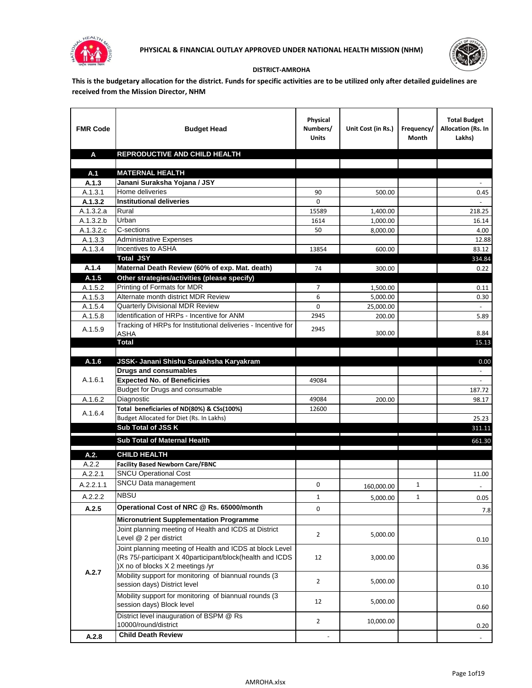



## **DISTRICT-AMROHA**

**This is the budgetary allocation for the district. Funds for specific activities are to be utilized only after detailed guidelines are received from the Mission Director, NHM**

| <b>FMR Code</b>      | <b>Budget Head</b>                                                                                      | Physical<br>Numbers/<br><b>Units</b> | Unit Cost (in Rs.) | Frequency/<br>Month | <b>Total Budget</b><br>Allocation (Rs. In<br>Lakhs) |
|----------------------|---------------------------------------------------------------------------------------------------------|--------------------------------------|--------------------|---------------------|-----------------------------------------------------|
| A                    | REPRODUCTIVE AND CHILD HEALTH                                                                           |                                      |                    |                     |                                                     |
|                      |                                                                                                         |                                      |                    |                     |                                                     |
| A.1                  | <b>MATERNAL HEALTH</b>                                                                                  |                                      |                    |                     |                                                     |
| A.1.3                | Janani Suraksha Yojana / JSY                                                                            |                                      |                    |                     |                                                     |
| A.1.3.1              | Home deliveries                                                                                         | 90                                   | 500.00             |                     | 0.45                                                |
| A.1.3.2              | <b>Institutional deliveries</b>                                                                         | 0                                    |                    |                     |                                                     |
| A.1.3.2.a            | Rural                                                                                                   | 15589                                | 1,400.00           |                     | 218.25                                              |
| A.1.3.2.b            | Urban                                                                                                   | 1614                                 | 1,000.00           |                     | 16.14                                               |
| A.1.3.2.c<br>A.1.3.3 | C-sections<br><b>Administrative Expenses</b>                                                            | 50                                   | 8,000.00           |                     | 4.00                                                |
| A.1.3.4              | Incentives to ASHA                                                                                      | 13854                                | 600.00             |                     | 12.88<br>83.12                                      |
|                      | <b>Total JSY</b>                                                                                        |                                      |                    |                     | 334.84                                              |
| A.1.4                | Maternal Death Review (60% of exp. Mat. death)                                                          | 74                                   | 300.00             |                     | 0.22                                                |
| A.1.5                | Other strategies/activities (please specify)                                                            |                                      |                    |                     |                                                     |
| A.1.5.2              | Printing of Formats for MDR                                                                             | $\overline{7}$                       | 1.500.00           |                     | 0.11                                                |
| A.1.5.3              | Alternate month district MDR Review                                                                     | 6                                    | 5,000.00           |                     | 0.30                                                |
| A.1.5.4              | <b>Quarterly Divisional MDR Review</b>                                                                  | 0                                    | 25,000.00          |                     |                                                     |
| A.1.5.8              | Identification of HRPs - Incentive for ANM                                                              | 2945                                 | 200.00             |                     | 5.89                                                |
|                      | Tracking of HRPs for Institutional deliveries - Incentive for                                           |                                      |                    |                     |                                                     |
| A.1.5.9              | <b>ASHA</b>                                                                                             | 2945                                 | 300.00             |                     | 8.84                                                |
|                      | <b>Total</b>                                                                                            |                                      |                    |                     | 15.13                                               |
|                      |                                                                                                         |                                      |                    |                     |                                                     |
| A.1.6                | JSSK- Janani Shishu Surakhsha Karyakram                                                                 |                                      |                    |                     | 0.00                                                |
|                      | <b>Drugs and consumables</b>                                                                            |                                      |                    |                     |                                                     |
| A.1.6.1              | <b>Expected No. of Beneficiries</b>                                                                     | 49084                                |                    |                     | $\blacksquare$                                      |
|                      | Budget for Drugs and consumable                                                                         |                                      |                    |                     | 187.72                                              |
| A.1.6.2              | Diagnostic<br>Total beneficiaries of ND(80%) & CSs(100%)                                                | 49084<br>12600                       | 200.00             |                     | 98.17                                               |
| A.1.6.4              | Budget Allocated for Diet (Rs. In Lakhs)                                                                |                                      |                    |                     | 25.23                                               |
|                      | Sub Total of JSS K                                                                                      |                                      |                    |                     | 311.11                                              |
|                      |                                                                                                         |                                      |                    |                     |                                                     |
|                      | Sub Total of Maternal Health                                                                            |                                      |                    |                     | 661.30                                              |
| A.2.                 | <b>CHILD HEALTH</b>                                                                                     |                                      |                    |                     |                                                     |
| A.2.2                | <b>Facility Based Newborn Care/FBNC</b>                                                                 |                                      |                    |                     |                                                     |
| A.2.2.1              | <b>SNCU Operational Cost</b>                                                                            |                                      |                    |                     | 11.00                                               |
| A.2.2.1.1            | SNCU Data management                                                                                    | 0                                    | 160,000.00         | $\mathbf{1}$        | $\sim$                                              |
| A.2.2.2              | <b>NBSU</b>                                                                                             | 1                                    | 5,000.00           | 1                   | 0.05                                                |
| A.2.5                | Operational Cost of NRC @ Rs. 65000/month                                                               | 0                                    |                    |                     |                                                     |
|                      |                                                                                                         |                                      |                    |                     | 7.8                                                 |
|                      | <b>Micronutrient Supplementation Programme</b><br>Joint planning meeting of Health and ICDS at District |                                      |                    |                     |                                                     |
|                      | Level @ 2 per district                                                                                  | $\overline{2}$                       | 5,000.00           |                     |                                                     |
|                      | Joint planning meeting of Health and ICDS at block Level                                                |                                      |                    |                     | 0.10                                                |
|                      | (Rs 75/-participant X 40participant/block(health and ICDS                                               | 12                                   | 3,000.00           |                     |                                                     |
|                      | )X no of blocks X 2 meetings /yr                                                                        |                                      |                    |                     | 0.36                                                |
| A.2.7                | Mobility support for monitoring of biannual rounds (3                                                   |                                      |                    |                     |                                                     |
|                      | session days) District level                                                                            | $\overline{2}$                       | 5,000.00           |                     | 0.10                                                |
|                      | Mobility support for monitoring of biannual rounds (3                                                   |                                      |                    |                     |                                                     |
|                      | session days) Block level                                                                               | 12                                   | 5,000.00           |                     | 0.60                                                |
|                      | District level inauguration of BSPM @ Rs                                                                |                                      |                    |                     |                                                     |
|                      | 10000/round/district                                                                                    | $\overline{2}$                       | 10,000.00          |                     | 0.20                                                |
| A.2.8                | <b>Child Death Review</b>                                                                               |                                      |                    |                     | $\overline{\phantom{a}}$                            |
|                      |                                                                                                         |                                      |                    |                     |                                                     |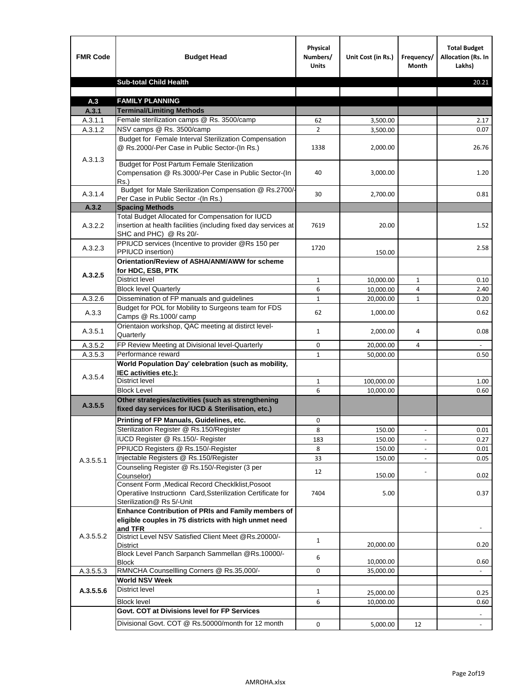| <b>FMR Code</b> | <b>Budget Head</b>                                                                                                                             | Physical<br>Numbers/<br><b>Units</b> | Unit Cost (in Rs.) | Frequency/<br><b>Month</b>   | <b>Total Budget</b><br>Allocation (Rs. In<br>Lakhs) |
|-----------------|------------------------------------------------------------------------------------------------------------------------------------------------|--------------------------------------|--------------------|------------------------------|-----------------------------------------------------|
|                 | <b>Sub-total Child Health</b>                                                                                                                  |                                      |                    |                              | 20.21                                               |
|                 |                                                                                                                                                |                                      |                    |                              |                                                     |
| A.3             | <b>FAMILY PLANNING</b>                                                                                                                         |                                      |                    |                              |                                                     |
| A.3.1           | <b>Terminal/Limiting Methods</b>                                                                                                               |                                      |                    |                              |                                                     |
| A.3.1.1         | Female sterilization camps @ Rs. 3500/camp                                                                                                     | 62<br>$\overline{2}$                 | 3,500.00           |                              | 2.17                                                |
| A.3.1.2         | NSV camps @ Rs. 3500/camp<br>Budget for Female Interval Sterilization Compensation                                                             |                                      | 3,500.00           |                              | 0.07                                                |
| A.3.1.3         | @ Rs.2000/-Per Case in Public Sector-(In Rs.)                                                                                                  | 1338                                 | 2,000.00           |                              | 26.76                                               |
|                 | <b>Budget for Post Partum Female Sterilization</b><br>Compensation @ Rs.3000/-Per Case in Public Sector-(In<br>$Rs.$ )                         | 40                                   | 3,000.00           |                              | 1.20                                                |
| A.3.1.4         | Budget for Male Sterilization Compensation @ Rs.2700/-<br>Per Case in Public Sector -(In Rs.)                                                  | 30                                   | 2,700.00           |                              | 0.81                                                |
| A.3.2           | <b>Spacing Methods</b>                                                                                                                         |                                      |                    |                              |                                                     |
| A.3.2.2         | Total Budget Allocated for Compensation for IUCD<br>insertion at health facilities (including fixed day services at<br>SHC and PHC) @ Rs 20/-  | 7619                                 | 20.00              |                              | 1.52                                                |
| A.3.2.3         | PPIUCD services (Incentive to provider @Rs 150 per<br>PPIUCD insertion)                                                                        | 1720                                 | 150.00             |                              | 2.58                                                |
| A.3.2.5         | Orientation/Review of ASHA/ANM/AWW for scheme<br>for HDC, ESB, PTK                                                                             |                                      |                    |                              |                                                     |
|                 | <b>District level</b>                                                                                                                          | $\mathbf{1}$                         | 10,000.00          | $\mathbf{1}$                 | 0.10                                                |
|                 | <b>Block level Quarterly</b>                                                                                                                   | 6                                    | 10,000.00          | 4                            | 2.40                                                |
| A.3.2.6         | Dissemination of FP manuals and guidelines                                                                                                     | $\mathbf{1}$                         | 20,000.00          | $\mathbf{1}$                 | 0.20                                                |
| A.3.3           | Budget for POL for Mobility to Surgeons team for FDS<br>Camps @ Rs.1000/ camp                                                                  | 62                                   | 1,000.00           |                              | 0.62                                                |
| A.3.5.1         | Orientaion workshop, QAC meeting at distirct level-<br>Quarterly                                                                               | $\mathbf{1}$                         | 2,000.00           | 4                            | 0.08                                                |
| A.3.5.2         | FP Review Meeting at Divisional level-Quarterly                                                                                                | 0                                    | 20,000.00          | 4                            |                                                     |
| A.3.5.3         | Performance reward                                                                                                                             | $\mathbf{1}$                         | 50,000.00          |                              | 0.50                                                |
| A.3.5.4         | World Population Day' celebration (such as mobility,<br>IEC activities etc.):                                                                  |                                      |                    |                              |                                                     |
|                 | District level                                                                                                                                 | $\mathbf{1}$                         | 100,000.00         |                              | 1.00                                                |
|                 | <b>Block Level</b>                                                                                                                             | 6                                    | 10.000.00          |                              | 0.60                                                |
| A.3.5.5         | Other strategies/activities (such as strengthening<br>fixed day services for IUCD & Sterilisation, etc.)                                       |                                      |                    |                              |                                                     |
|                 | Printing of FP Manuals, Guidelines, etc.                                                                                                       | 0                                    |                    |                              |                                                     |
|                 | Sterilization Register @ Rs.150/Register                                                                                                       | 8                                    | 150.00             | $\qquad \qquad \blacksquare$ | 0.01                                                |
|                 | IUCD Register @ Rs.150/- Register                                                                                                              | 183                                  | 150.00             |                              | 0.27                                                |
|                 | PPIUCD Registers @ Rs.150/-Register                                                                                                            | 8                                    | 150.00             |                              | 0.01                                                |
| A.3.5.5.1       | Injectable Registers @ Rs.150/Register                                                                                                         | 33                                   | 150.00             |                              | 0.05                                                |
|                 | Counseling Register @ Rs.150/-Register (3 per<br>Counselor)                                                                                    | 12                                   | 150.00             |                              | 0.02                                                |
|                 | Consent Form , Medical Record CheckIklist, Posoot<br>Operatiive Instructionn Card, Ssterilization Certificate for<br>Sterilization@ Rs 5/-Unit | 7404                                 | 5.00               |                              | 0.37                                                |
|                 | Enhance Contribution of PRIs and Family members of<br>eligible couples in 75 districts with high unmet need<br>and TFR                         |                                      |                    |                              |                                                     |
| A.3.5.5.2       | District Level NSV Satisfied Client Meet @Rs.20000/-<br>District                                                                               | $\mathbf{1}$                         | 20,000.00          |                              | 0.20                                                |
|                 | Block Level Panch Sarpanch Sammellan @Rs.10000/-<br><b>Block</b>                                                                               | 6                                    | 10,000.00          |                              | 0.60                                                |
| A.3.5.5.3       | RMNCHA Counsellling Corners @ Rs.35,000/-                                                                                                      | 0                                    | 35,000.00          |                              |                                                     |
|                 | <b>World NSV Week</b>                                                                                                                          |                                      |                    |                              |                                                     |
| A.3.5.5.6       | <b>District level</b>                                                                                                                          | $\mathbf{1}$                         | 25,000.00          |                              | 0.25                                                |
|                 | <b>Block level</b>                                                                                                                             | 6                                    | 10,000.00          |                              | 0.60                                                |
|                 | Govt. COT at Divisions level for FP Services                                                                                                   |                                      |                    |                              |                                                     |
|                 | Divisional Govt. COT @ Rs.50000/month for 12 month                                                                                             | 0                                    | 5,000.00           | 12                           | $\omega$                                            |
|                 |                                                                                                                                                |                                      |                    |                              |                                                     |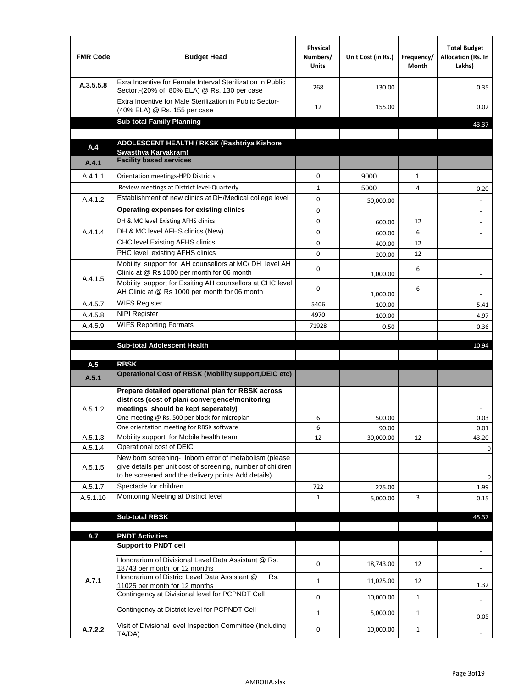| <b>FMR Code</b> | <b>Budget Head</b>                                                                                                                                                                                                                       | Physical<br>Numbers/<br><b>Units</b> | Unit Cost (in Rs.) | Frequency/<br>Month | <b>Total Budget</b><br>Allocation (Rs. In<br>Lakhs) |
|-----------------|------------------------------------------------------------------------------------------------------------------------------------------------------------------------------------------------------------------------------------------|--------------------------------------|--------------------|---------------------|-----------------------------------------------------|
| A.3.5.5.8       | Exra Incentive for Female Interval Sterilization in Public<br>Sector.-(20% of 80% ELA) @ Rs. 130 per case                                                                                                                                | 268                                  | 130.00             |                     | 0.35                                                |
|                 | Extra Incentive for Male Sterilization in Public Sector-<br>(40% ELA) @ Rs. 155 per case                                                                                                                                                 | 12                                   | 155.00             |                     | 0.02                                                |
|                 | <b>Sub-total Family Planning</b>                                                                                                                                                                                                         |                                      |                    |                     | 43.37                                               |
|                 | ADOLESCENT HEALTH / RKSK (Rashtriya Kishore                                                                                                                                                                                              |                                      |                    |                     |                                                     |
| A.4             | Swasthya Karyakram)                                                                                                                                                                                                                      |                                      |                    |                     |                                                     |
| A.4.1           | <b>Facility based services</b>                                                                                                                                                                                                           |                                      |                    |                     |                                                     |
| A.4.1.1         | Orientation meetings-HPD Districts                                                                                                                                                                                                       | $\Omega$                             | 9000               | $\mathbf{1}$        |                                                     |
|                 | Review meetings at District level-Quarterly                                                                                                                                                                                              | $\mathbf{1}$                         | 5000               | 4                   | 0.20                                                |
| A.4.1.2         | Establishment of new clinics at DH/Medical college level                                                                                                                                                                                 | 0                                    | 50,000.00          |                     |                                                     |
|                 | Operating expenses for existing clinics                                                                                                                                                                                                  | 0                                    |                    |                     |                                                     |
|                 | DH & MC level Existing AFHS clinics                                                                                                                                                                                                      | 0                                    | 600.00             | 12                  |                                                     |
| A.4.1.4         | DH & MC level AFHS clinics (New)                                                                                                                                                                                                         | 0                                    | 600.00             | 6                   | $\overline{\phantom{a}}$                            |
|                 | CHC level Existing AFHS clinics                                                                                                                                                                                                          | 0                                    | 400.00             | 12                  | $\overline{\phantom{a}}$                            |
|                 | PHC level existing AFHS clinics                                                                                                                                                                                                          | $\Omega$                             | 200.00             | 12                  | $\blacksquare$                                      |
| A.4.1.5         | Mobility support for AH counsellors at MC/DH level AH<br>Clinic at @ Rs 1000 per month for 06 month                                                                                                                                      | 0                                    | 1,000.00           | 6                   |                                                     |
|                 | Mobility support for Exsiting AH counsellors at CHC level<br>AH Clinic at @ Rs 1000 per month for 06 month                                                                                                                               | 0                                    | 1,000.00           | 6                   |                                                     |
| A.4.5.7         | <b>WIFS Register</b>                                                                                                                                                                                                                     | 5406                                 | 100.00             |                     | 5.41                                                |
| A.4.5.8         | <b>NIPI Register</b>                                                                                                                                                                                                                     | 4970                                 | 100.00             |                     | 4.97                                                |
| A.4.5.9         | <b>WIFS Reporting Formats</b>                                                                                                                                                                                                            | 71928                                | 0.50               |                     | 0.36                                                |
|                 | <b>Sub-total Adolescent Health</b>                                                                                                                                                                                                       |                                      |                    |                     | 10.94                                               |
| A.5             | <b>RBSK</b><br><b>Operational Cost of RBSK (Mobility support, DEIC etc)</b>                                                                                                                                                              |                                      |                    |                     |                                                     |
| A.5.1           |                                                                                                                                                                                                                                          |                                      |                    |                     |                                                     |
| A.5.1.2         | Prepare detailed operational plan for RBSK across<br>districts (cost of plan/convergence/monitoring<br>meetings should be kept seperately)<br>One meeting @ Rs. 500 per block for microplan<br>One orientation meeting for RBSK software | 6                                    | 500.00<br>90.00    |                     | 0.03<br>0.01                                        |
| A.5.1.3         | Mobility support for Mobile health team                                                                                                                                                                                                  | 6<br>12                              | 30,000.00          | 12                  | 43.20                                               |
| A.5.1.4         | Operational cost of DEIC                                                                                                                                                                                                                 |                                      |                    |                     | 0                                                   |
| A.5.1.5         | New born screening- Inborn error of metabolism (please<br>give details per unit cost of screening, number of children<br>to be screened and the delivery points Add details)                                                             |                                      |                    |                     | 0                                                   |
| A.5.1.7         | Spectacle for children                                                                                                                                                                                                                   | 722                                  | 275.00             |                     | 1.99                                                |
| A.5.1.10        | Monitoring Meeting at District level                                                                                                                                                                                                     | $\mathbf{1}$                         | 5,000.00           | 3                   | 0.15                                                |
|                 |                                                                                                                                                                                                                                          |                                      |                    |                     |                                                     |
|                 | <b>Sub-total RBSK</b>                                                                                                                                                                                                                    |                                      |                    |                     | 45.37                                               |
| A.7             | <b>PNDT Activities</b>                                                                                                                                                                                                                   |                                      |                    |                     |                                                     |
|                 | <b>Support to PNDT cell</b>                                                                                                                                                                                                              |                                      |                    |                     |                                                     |
|                 | Honorarium of Divisional Level Data Assistant @ Rs.<br>18743 per month for 12 months                                                                                                                                                     | 0                                    | 18,743.00          | 12                  |                                                     |
| A.7.1           | Honorarium of District Level Data Assistant @<br>Rs.<br>11025 per month for 12 months                                                                                                                                                    | $\mathbf{1}$                         | 11,025.00          | 12                  | 1.32                                                |
|                 | Contingency at Divisional level for PCPNDT Cell                                                                                                                                                                                          | 0                                    | 10,000.00          | $\mathbf{1}$        | $\overline{\phantom{a}}$                            |
|                 | Contingency at District level for PCPNDT Cell                                                                                                                                                                                            | $\mathbf{1}$                         | 5,000.00           | $\mathbf{1}$        | 0.05                                                |
| A.7.2.2         | Visit of Divisional level Inspection Committee (Including<br>TA/DA)                                                                                                                                                                      | 0                                    | 10,000.00          | $\mathbf{1}$        |                                                     |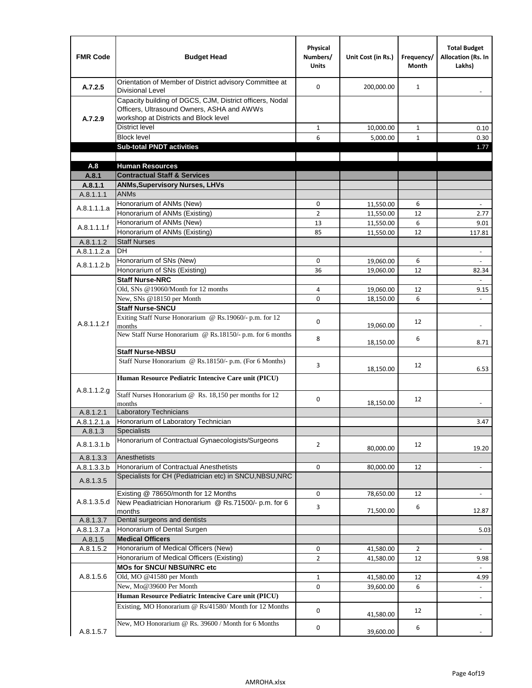| <b>FMR Code</b> | <b>Budget Head</b>                                                                                                                              | Physical<br>Numbers/<br><b>Units</b> | Unit Cost (in Rs.) | Frequency/<br><b>Month</b> | <b>Total Budget</b><br><b>Allocation (Rs. In</b><br>Lakhs) |
|-----------------|-------------------------------------------------------------------------------------------------------------------------------------------------|--------------------------------------|--------------------|----------------------------|------------------------------------------------------------|
| A.7.2.5         | Orientation of Member of District advisory Committee at<br><b>Divisional Level</b>                                                              | $\Omega$                             | 200,000.00         | $\mathbf{1}$               | $\overline{\phantom{m}}$                                   |
| A.7.2.9         | Capacity building of DGCS, CJM, District officers, Nodal<br>Officers, Ultrasound Owners, ASHA and AWWs<br>workshop at Districts and Block level |                                      |                    |                            |                                                            |
|                 | <b>District level</b>                                                                                                                           | $\mathbf{1}$                         | 10,000.00          | $\mathbf{1}$               | 0.10                                                       |
|                 | <b>Block level</b>                                                                                                                              | 6                                    | 5,000.00           | $\mathbf{1}$               | 0.30                                                       |
|                 | <b>Sub-total PNDT activities</b>                                                                                                                |                                      |                    |                            | 1.77                                                       |
|                 |                                                                                                                                                 |                                      |                    |                            |                                                            |
| A.8             | <b>Human Resources</b>                                                                                                                          |                                      |                    |                            |                                                            |
| A.8.1           | <b>Contractual Staff &amp; Services</b>                                                                                                         |                                      |                    |                            |                                                            |
| A.8.1.1         | <b>ANMs, Supervisory Nurses, LHVs</b>                                                                                                           |                                      |                    |                            |                                                            |
| A.8.1.1.1       | <b>ANMs</b>                                                                                                                                     |                                      |                    |                            |                                                            |
| A.8.1.1.1.a     | Honorarium of ANMs (New)                                                                                                                        | 0                                    | 11,550.00          | 6                          | $\blacksquare$                                             |
|                 | Honorarium of ANMs (Existing)                                                                                                                   | $\overline{2}$                       | 11,550.00          | 12                         | 2.77                                                       |
| A.8.1.1.1.f     | Honorarium of ANMs (New)                                                                                                                        | 13                                   | 11,550.00          | 6                          | 9.01                                                       |
|                 | Honorarium of ANMs (Existing)                                                                                                                   | 85                                   | 11,550.00          | 12                         | 117.81                                                     |
| A.8.1.1.2       | <b>Staff Nurses</b>                                                                                                                             |                                      |                    |                            |                                                            |
| A.8.1.1.2.a     | <b>DH</b>                                                                                                                                       |                                      |                    |                            | $\blacksquare$                                             |
| A.8.1.1.2.b     | Honorarium of SNs (New)                                                                                                                         | 0                                    | 19,060.00          | 6                          |                                                            |
|                 | Honorarium of SNs (Existing)                                                                                                                    | 36                                   | 19,060.00          | 12                         | 82.34                                                      |
|                 | <b>Staff Nurse-NRC</b>                                                                                                                          |                                      |                    |                            | $\overline{\phantom{a}}$                                   |
|                 | Old, SNs @19060/Month for 12 months                                                                                                             | 4                                    | 19,060.00          | 12                         | 9.15                                                       |
|                 | New, SNs @18150 per Month                                                                                                                       | 0                                    | 18,150.00          | 6                          |                                                            |
|                 | <b>Staff Nurse-SNCU</b>                                                                                                                         |                                      |                    |                            |                                                            |
| A.8.1.1.2.f     | Exiting Staff Nurse Honorarium @ Rs.19060/- p.m. for 12<br>months                                                                               | $\Omega$                             | 19,060.00          | 12                         | -                                                          |
|                 | New Staff Nurse Honorarium @ Rs.18150/- p.m. for 6 months                                                                                       | 8                                    | 18,150.00          | 6                          | 8.71                                                       |
|                 | <b>Staff Nurse-NBSU</b>                                                                                                                         |                                      |                    |                            |                                                            |
|                 | Staff Nurse Honorarium @ Rs.18150/- p.m. (For 6 Months)                                                                                         | 3                                    |                    | 12                         |                                                            |
|                 | Human Resource Pediatric Intencive Care unit (PICU)                                                                                             |                                      | 18,150.00          |                            | 6.53                                                       |
| A.8.1.1.2.g     | Staff Nurses Honorarium @ Rs. 18,150 per months for 12                                                                                          |                                      |                    |                            |                                                            |
|                 | months                                                                                                                                          | 0                                    | 18,150.00          | 12                         |                                                            |
| A.8.1.2.1       | <b>Laboratory Technicians</b>                                                                                                                   |                                      |                    |                            |                                                            |
| A.8.1.2.1.a     | Honorarium of Laboratory Technician                                                                                                             |                                      |                    |                            | 3.47                                                       |
| A.8.1.3         | <b>Specialists</b>                                                                                                                              |                                      |                    |                            |                                                            |
| A.8.1.3.1.b     | Honorarium of Contractual Gynaecologists/Surgeons                                                                                               | $\overline{2}$                       | 80,000.00          | 12                         | 19.20                                                      |
| A.8.1.3.3       | Anesthetists                                                                                                                                    |                                      |                    |                            |                                                            |
| A.8.1.3.3.b     | Honorarium of Contractual Anesthetists                                                                                                          | 0                                    | 80,000.00          | 12                         | $\blacksquare$                                             |
| A.8.1.3.5       | Specialists for CH (Pediatrician etc) in SNCU, NBSU, NRC                                                                                        |                                      |                    |                            |                                                            |
|                 | Existing @ 78650/month for 12 Months                                                                                                            | 0                                    | 78,650.00          | 12                         | $\blacksquare$                                             |
| A.8.1.3.5.d     | New Peadiatrician Honorarium @ Rs.71500/- p.m. for 6<br>months                                                                                  | 3                                    | 71,500.00          | 6                          | 12.87                                                      |
| A.8.1.3.7       | Dental surgeons and dentists                                                                                                                    |                                      |                    |                            |                                                            |
| A.8.1.3.7.a     | Honorarium of Dental Surgen                                                                                                                     |                                      |                    |                            | 5.03                                                       |
| A.8.1.5         | <b>Medical Officers</b>                                                                                                                         |                                      |                    |                            |                                                            |
| A.8.1.5.2       | Honorarium of Medical Officers (New)                                                                                                            | 0                                    | 41,580.00          | $\overline{2}$             | $\blacksquare$                                             |
|                 | Honorarium of Medical Officers (Existing)                                                                                                       | $\overline{2}$                       | 41,580.00          | 12                         | 9.98                                                       |
|                 | MOs for SNCU/ NBSU/NRC etc                                                                                                                      |                                      |                    |                            |                                                            |
| A.8.1.5.6       | Old, MO @41580 per Month                                                                                                                        | $\mathbf{1}$                         | 41,580.00          | 12                         | 4.99                                                       |
|                 | New, Mo@39600 Per Month                                                                                                                         | 0                                    | 39,600.00          | 6                          | $\blacksquare$                                             |
|                 | Human Resource Pediatric Intencive Care unit (PICU)                                                                                             |                                      |                    |                            | $\frac{1}{2}$                                              |
|                 | Existing, MO Honorarium @ Rs/41580/ Month for 12 Months                                                                                         | $\mathbf 0$                          | 41,580.00          | 12                         |                                                            |
| A.8.1.5.7       | New, MO Honorarium @ Rs. 39600 / Month for 6 Months                                                                                             | 0                                    | 39,600.00          | 6                          |                                                            |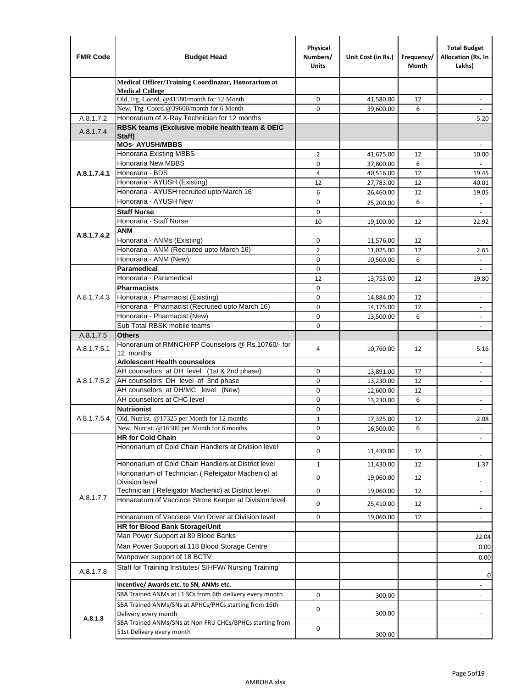| <b>FMR Code</b> | <b>Budget Head</b>                                                        | Physical<br>Numbers/<br><b>Units</b> | Unit Cost (in Rs.)     | Frequency/<br>Month | <b>Total Budget</b><br>Allocation (Rs. In<br>Lakhs) |
|-----------------|---------------------------------------------------------------------------|--------------------------------------|------------------------|---------------------|-----------------------------------------------------|
|                 | Medical Officer/Training Coordinator, Honorarium at                       |                                      |                        |                     |                                                     |
|                 | <b>Medical College</b><br>Old, Trg. Coord. @41580/month for 12 Month      | $\mathbf 0$                          | 41,580.00              | 12                  | $\overline{\phantom{a}}$                            |
|                 | New, Trg. Coord.@39600/month for 6 Month                                  | $\Omega$                             | 39,600.00              | 6                   |                                                     |
| A.8.1.7.2       | Honorarium of X-Ray Technician for 12 months                              |                                      |                        |                     | 5.20                                                |
| A.8.1.7.4       | RBSK teams (Exclusive mobile health team & DEIC                           |                                      |                        |                     |                                                     |
|                 | Staff)                                                                    |                                      |                        |                     |                                                     |
|                 | <b>MOs- AYUSH/MBBS</b>                                                    |                                      |                        |                     |                                                     |
|                 | <b>Honoraria Existing MBBS</b><br>Honoraria New MBBS                      | $\overline{2}$<br>0                  | 41,675.00              | 12<br>6             | 10.00                                               |
| A.8.1.7.4.1     | Honoraria - BDS                                                           | 4                                    | 37,800.00<br>40,516.00 | 12                  | ÷.<br>19.45                                         |
|                 | Honoraria - AYUSH (Existing)                                              | 12                                   | 27,783.00              | 12                  | 40.01                                               |
|                 | Honoraria - AYUSH recruited upto March 16                                 | 6                                    | 26,460.00              | 12                  | 19.05                                               |
|                 | Honoraria - AYUSH New                                                     | $\mathbf 0$                          | 25,200.00              | 6                   | $\overline{\phantom{a}}$                            |
|                 | <b>Staff Nurse</b>                                                        | $\Omega$                             |                        |                     |                                                     |
|                 | Honoraria - Staff Nurse                                                   | 10                                   | 19,100.00              | 12                  | 22.92                                               |
| A.8.1.7.4.2     | <b>ANM</b>                                                                |                                      |                        |                     |                                                     |
|                 | Honoraria - ANMs (Existing)                                               | $\mathbf 0$                          | 11,576.00              | 12                  | ÷,                                                  |
|                 | Honoraria - ANM (Recruited upto March 16)                                 | $\overline{2}$                       | 11,025.00              | 12                  | 2.65                                                |
|                 | Honoraria - ANM (New)                                                     | $\mathbf 0$                          | 10,500.00              | 6                   |                                                     |
|                 | Paramedical                                                               | $\mathbf 0$                          |                        |                     | $\blacksquare$                                      |
|                 | Honoraria - Paramedical<br><b>Pharmacists</b>                             | 12                                   | 13,753.00              | 12                  | 19.80                                               |
| A.8.1.7.4.3     | Honoraria - Pharmacist (Existing)                                         | $\mathbf 0$<br>$\mathbf 0$           |                        | 12                  | $\overline{\phantom{a}}$                            |
|                 | Honoraria - Pharmacist (Recruited upto March 16)                          | 0                                    | 14,884.00<br>14,175.00 | 12                  | $\blacksquare$                                      |
|                 | Honoraria - Pharmacist (New)                                              | $\Omega$                             | 13,500.00              | 6                   | $\overline{\phantom{a}}$                            |
|                 | Sub Total RBSK mobile teams                                               | $\Omega$                             |                        |                     | $\overline{\phantom{a}}$                            |
| A.8.1.7.5       | <b>Others</b>                                                             |                                      |                        |                     |                                                     |
| A.8.1.7.5.1     | Honorarium of RMNCH/FP Counselors @ Rs.10760/- for                        | 4                                    | 10,760.00              | 12                  | 5.16                                                |
|                 | 12 months                                                                 |                                      |                        |                     |                                                     |
|                 | <b>Adolescent Health counselors</b>                                       |                                      |                        |                     | $\overline{\phantom{a}}$                            |
|                 | AH counselors at DH level (1st & 2nd phase)                               | 0                                    | 13,891.00              | 12                  | $\overline{\phantom{a}}$                            |
| A.8.1.7.5.2     | AH counselors DH level of 3nd phase<br>AH counselors at DH/MC level (New) | $\mathbf 0$<br>0                     | 13,230.00<br>12,600.00 | 12<br>12            | $\overline{\phantom{a}}$<br>$\blacksquare$          |
|                 | AH counsellors at CHC level                                               | $\mathbf 0$                          | 13,230.00              | 6                   | $\overline{\phantom{a}}$                            |
|                 | <b>Nutriionist</b>                                                        | 0                                    |                        |                     | $\overline{\phantom{a}}$                            |
| A.8.1.7.5.4     | Old, Nutrist. @17325 per Month for 12 months                              | $\mathbf{1}$                         | 17,325.00              | 12                  | 2.08                                                |
|                 | New, Nutrist. $@16500$ per Month for 6 months                             | 0                                    | 16,500.00              | 6                   |                                                     |
|                 | <b>HR for Cold Chain</b>                                                  | 0                                    |                        |                     |                                                     |
|                 | Hononarium of Cold Chain Handlers at Division level                       | 0                                    | 11,430.00              | 12                  |                                                     |
|                 | Hononarium of Cold Chain Handlers at District level                       | $\mathbf{1}$                         | 11,430.00              | 12                  | 1.37                                                |
|                 | Hononarium of Technician (Refeigator Machenic) at                         |                                      |                        |                     |                                                     |
|                 | <b>Division level</b>                                                     | 0                                    | 19,060.00              | 12                  | $\overline{\phantom{a}}$                            |
|                 | Technician (Refeigator Machenic) at District level                        | 0                                    | 19,060.00              | 12                  | $\blacksquare$                                      |
| A.8.1.7.7       | Honararium of Vaccince Strore Keeper at Division level                    | 0                                    | 25,410.00              | 12                  | $\overline{\phantom{a}}$                            |
|                 | Honararium of Vaccince Van Driver at Division level                       | 0                                    | 19,060.00              | 12                  | $\overline{\phantom{a}}$                            |
|                 | <b>HR for Blood Bank Storage/Unit</b>                                     |                                      |                        |                     |                                                     |
|                 | Man Power Support at 89 Blood Banks                                       |                                      |                        |                     | 22.04                                               |
|                 | Man Power Support at 118 Blood Storage Centre                             |                                      |                        |                     | 0.00                                                |
|                 | Manpower support of 18 BCTV                                               |                                      |                        |                     | 0.00                                                |
| A.8.1.7.8       | Staff for Training Institutes/ SIHFW/ Nursing Training                    |                                      |                        |                     |                                                     |
|                 | Incentive/ Awards etc. to SN, ANMs etc.                                   |                                      |                        |                     | 0<br>$\overline{\phantom{a}}$                       |
|                 | SBA Trained ANMs at L1 SCs from 6th delivery every month                  | 0                                    | 300.00                 |                     | $\blacksquare$                                      |
|                 | SBA Trained ANMs/SNs at APHCs/PHCs starting from 16th                     | 0                                    |                        |                     |                                                     |
| A.8.1.8         | Delivery every month                                                      |                                      | 300.00                 |                     |                                                     |
|                 | SBA Trained ANMs/SNs at Non FRU CHCs/BPHCs starting from                  | 0                                    |                        |                     |                                                     |
|                 | 51st Delivery every month                                                 |                                      | 300.00                 |                     |                                                     |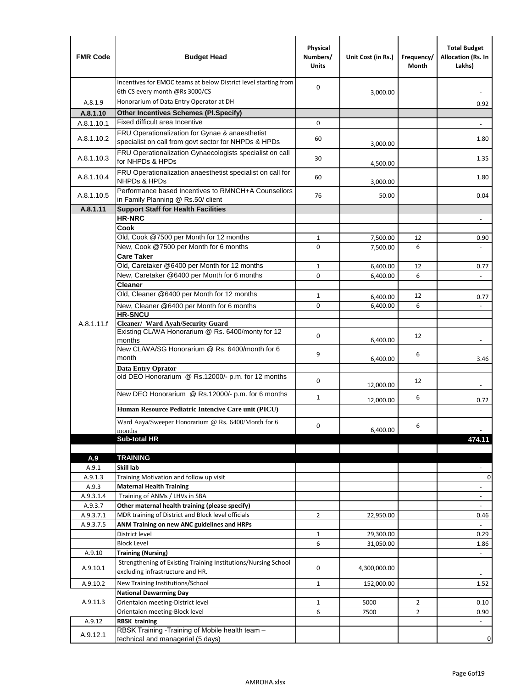| <b>FMR Code</b>  | <b>Budget Head</b>                                                                                      | Physical<br>Numbers/<br><b>Units</b> | Unit Cost (in Rs.)   | Frequency/<br>Month | <b>Total Budget</b><br>Allocation (Rs. In<br>Lakhs) |
|------------------|---------------------------------------------------------------------------------------------------------|--------------------------------------|----------------------|---------------------|-----------------------------------------------------|
|                  | Incentives for EMOC teams at below District level starting from<br>6th CS every month @Rs 3000/CS       | 0                                    | 3,000.00             |                     |                                                     |
| A.8.1.9          | Honorarium of Data Entry Operator at DH                                                                 |                                      |                      |                     | 0.92                                                |
| A.8.1.10         | <b>Other Incentives Schemes (Pl.Specify)</b>                                                            |                                      |                      |                     |                                                     |
| A.8.1.10.1       | Fixed difficult area Incentive                                                                          | 0                                    |                      |                     |                                                     |
| A.8.1.10.2       | FRU Operationalization for Gynae & anaesthetist<br>specialist on call from govt sector for NHPDs & HPDs | 60                                   | 3,000.00             |                     | 1.80                                                |
| A.8.1.10.3       | FRU Operationalization Gynaecologists specialist on call<br>for NHPDs & HPDs                            | 30                                   | 4,500.00             |                     | 1.35                                                |
| A.8.1.10.4       | FRU Operationalization anaesthetist specialist on call for<br><b>NHPDs &amp; HPDs</b>                   | 60                                   | 3,000.00             |                     | 1.80                                                |
| A.8.1.10.5       | Performance based Incentives to RMNCH+A Counsellors<br>in Family Planning @ Rs.50/ client               | 76                                   | 50.00                |                     | 0.04                                                |
| A.8.1.11         | <b>Support Staff for Health Facilities</b>                                                              |                                      |                      |                     |                                                     |
|                  | <b>HR-NRC</b>                                                                                           |                                      |                      |                     | $\frac{1}{2}$                                       |
|                  | Cook                                                                                                    |                                      |                      |                     |                                                     |
|                  | Old, Cook @7500 per Month for 12 months                                                                 | 1                                    | 7,500.00             | 12                  | 0.90                                                |
|                  | New, Cook @7500 per Month for 6 months<br><b>Care Taker</b>                                             | 0                                    | 7,500.00             | 6                   | $\blacksquare$                                      |
|                  | Old, Caretaker @6400 per Month for 12 months                                                            | 1                                    | 6,400.00             | 12                  | 0.77                                                |
|                  | New, Caretaker @6400 per Month for 6 months                                                             | 0                                    | 6,400.00             | 6                   | $\overline{\phantom{a}}$                            |
|                  | <b>Cleaner</b>                                                                                          |                                      |                      |                     |                                                     |
|                  | Old, Cleaner @6400 per Month for 12 months                                                              | 1                                    |                      | 12                  |                                                     |
|                  | New, Cleaner @6400 per Month for 6 months                                                               | 0                                    | 6,400.00<br>6,400.00 | 6                   | 0.77                                                |
|                  | <b>HR-SNCU</b>                                                                                          |                                      |                      |                     |                                                     |
| A.8.1.11.f       | Cleaner/ Ward Ayah/Security Guard                                                                       |                                      |                      |                     |                                                     |
|                  | Existing CL/WA Honorarium @ Rs. 6400/monty for 12<br>months                                             | 0                                    | 6,400.00             | 12                  |                                                     |
|                  | New CL/WA/SG Honorarium @ Rs. 6400/month for 6<br>month                                                 | 9                                    | 6,400.00             | 6                   | 3.46                                                |
|                  | <b>Data Entry Oprator</b>                                                                               |                                      |                      |                     |                                                     |
|                  | old DEO Honorarium @ Rs.12000/- p.m. for 12 months                                                      | 0                                    | 12,000.00            | 12                  |                                                     |
|                  | New DEO Honorarium @ Rs.12000/- p.m. for 6 months                                                       | $\mathbf{1}$                         | 12,000.00            | 6                   | 0.72                                                |
|                  | Human Resource Pediatric Intencive Care unit (PICU)                                                     |                                      |                      |                     |                                                     |
|                  | Ward Aaya/Sweeper Honorarium @ Rs. 6400/Month for 6                                                     |                                      |                      |                     |                                                     |
|                  | months                                                                                                  | 0                                    | 6,400.00             | 6                   |                                                     |
|                  | Sub-total HR                                                                                            |                                      |                      |                     | 474.11                                              |
|                  |                                                                                                         |                                      |                      |                     |                                                     |
| A.9              | <b>TRAINING</b><br>Skill lab                                                                            |                                      |                      |                     |                                                     |
| A.9.1            |                                                                                                         |                                      |                      |                     | 0                                                   |
| A.9.1.3<br>A.9.3 | Training Motivation and follow up visit<br><b>Maternal Health Training</b>                              |                                      |                      |                     | $\blacksquare$                                      |
| A.9.3.1.4        | Training of ANMs / LHVs in SBA                                                                          |                                      |                      |                     | $\overline{\phantom{a}}$                            |
| A.9.3.7          | Other maternal health training (please specify)                                                         |                                      |                      |                     | $\overline{\phantom{a}}$                            |
| A.9.3.7.1        | MDR training of District and Block level officials                                                      | $\overline{2}$                       | 22,950.00            |                     | 0.46                                                |
| A.9.3.7.5        | ANM Training on new ANC guidelines and HRPs                                                             |                                      |                      |                     |                                                     |
|                  | District level                                                                                          | $\mathbf 1$                          | 29,300.00            |                     | 0.29                                                |
|                  | <b>Block Level</b>                                                                                      | 6                                    | 31,050.00            |                     | 1.86                                                |
| A.9.10           | <b>Training (Nursing)</b>                                                                               |                                      |                      |                     | $\blacksquare$                                      |
| A.9.10.1         | Strengthening of Existing Training Institutions/Nursing School<br>excluding infrastructure and HR.      | 0                                    | 4,300,000.00         |                     |                                                     |
| A.9.10.2         | New Training Institutions/School                                                                        | $\mathbf{1}$                         | 152,000.00           |                     | 1.52                                                |
|                  | <b>National Dewarming Day</b>                                                                           |                                      |                      |                     |                                                     |
| A.9.11.3         | Orientaion meeting-District level                                                                       | 1                                    | 5000                 | $\overline{2}$      | 0.10                                                |
|                  | Orientaion meeting-Block level                                                                          | 6                                    | 7500                 | $\overline{2}$      | 0.90                                                |
| A.9.12           | <b>RBSK training</b>                                                                                    |                                      |                      |                     |                                                     |
| A.9.12.1         | RBSK Training -Training of Mobile health team -<br>technical and managerial (5 days)                    |                                      |                      |                     | 0                                                   |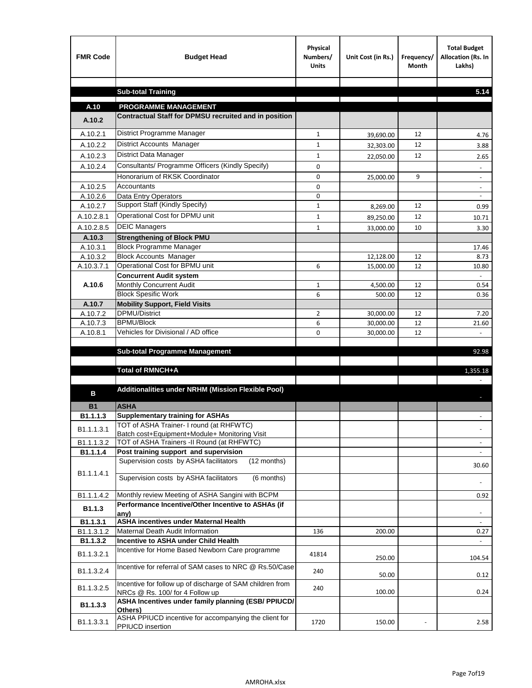| <b>FMR Code</b>      | <b>Budget Head</b>                                                                     | Physical<br>Numbers/<br><b>Units</b> | Unit Cost (in Rs.)     | Frequency/<br>Month | <b>Total Budget</b><br>Allocation (Rs. In<br>Lakhs) |
|----------------------|----------------------------------------------------------------------------------------|--------------------------------------|------------------------|---------------------|-----------------------------------------------------|
|                      |                                                                                        |                                      |                        |                     |                                                     |
|                      | <b>Sub-total Training</b>                                                              |                                      |                        |                     | 5.14                                                |
| A.10                 | <b>PROGRAMME MANAGEMENT</b>                                                            |                                      |                        |                     |                                                     |
| A.10.2               | Contractual Staff for DPMSU recruited and in position                                  |                                      |                        |                     |                                                     |
| A.10.2.1             | District Programme Manager                                                             | $\mathbf{1}$                         |                        | 12                  |                                                     |
| A.10.2.2             | <b>District Accounts Manager</b>                                                       | $\mathbf{1}$                         | 39,690.00              | 12                  | 4.76                                                |
| A.10.2.3             | District Data Manager                                                                  | $\mathbf{1}$                         | 32,303.00              | 12                  | 3.88                                                |
| A.10.2.4             | Consultants/ Programme Officers (Kindly Specify)                                       | $\mathbf 0$                          | 22,050.00              |                     | 2.65                                                |
|                      | Honorarium of RKSK Coordinator                                                         |                                      |                        |                     |                                                     |
| A.10.2.5             | Accountants                                                                            | 0<br>0                               | 25,000.00              | 9                   | $\overline{\phantom{a}}$                            |
| A.10.2.6             | Data Entry Operators                                                                   | 0                                    |                        |                     | $\overline{\phantom{a}}$                            |
| A.10.2.7             | Support Staff (Kindly Specify)                                                         | $\mathbf{1}$                         | 8,269.00               | 12                  | 0.99                                                |
| A.10.2.8.1           | Operational Cost for DPMU unit                                                         | $\mathbf{1}$                         | 89,250.00              | 12                  | 10.71                                               |
| A.10.2.8.5           | <b>DEIC Managers</b>                                                                   | $\mathbf{1}$                         | 33,000.00              | 10                  | 3.30                                                |
| A.10.3               | <b>Strengthening of Block PMU</b>                                                      |                                      |                        |                     |                                                     |
| A.10.3.1             | <b>Block Programme Manager</b>                                                         |                                      |                        |                     | 17.46                                               |
| A.10.3.2             | <b>Block Accounts Manager</b>                                                          |                                      | 12,128.00              | 12                  | 8.73                                                |
| A.10.3.7.1           | Operational Cost for BPMU unit                                                         | 6                                    | 15,000.00              | 12                  | 10.80                                               |
|                      | <b>Concurrent Audit system</b>                                                         |                                      |                        |                     |                                                     |
| A.10.6               | Monthly Concurrent Audit                                                               | $\mathbf{1}$                         | 4,500.00               | 12                  | 0.54                                                |
|                      | <b>Block Spesific Work</b>                                                             | 6                                    | 500.00                 | 12                  | 0.36                                                |
| A.10.7               | <b>Mobility Support, Field Visits</b>                                                  |                                      |                        |                     |                                                     |
| A.10.7.2             | <b>DPMU/District</b><br><b>BPMU/Block</b>                                              | 2                                    | 30,000.00              | 12                  | 7.20                                                |
| A.10.7.3<br>A.10.8.1 | Vehicles for Divisional / AD office                                                    | 6<br>0                               | 30,000.00<br>30,000.00 | 12<br>12            | 21.60<br>$\mathcal{L}$                              |
|                      |                                                                                        |                                      |                        |                     |                                                     |
|                      | <b>Sub-total Programme Management</b>                                                  |                                      |                        |                     | 92.98                                               |
|                      |                                                                                        |                                      |                        |                     |                                                     |
|                      | Total of RMNCH+A                                                                       |                                      |                        |                     | 1,355.18                                            |
|                      |                                                                                        |                                      |                        |                     |                                                     |
| в                    | Additionalities under NRHM (Mission Flexible Pool)                                     |                                      |                        |                     |                                                     |
| <b>B1</b>            | <b>ASHA</b>                                                                            |                                      |                        |                     |                                                     |
| B1.1.1.3             | <b>Supplementary training for ASHAs</b>                                                |                                      |                        |                     |                                                     |
|                      | TOT of ASHA Trainer- I round (at RHFWTC)                                               |                                      |                        |                     |                                                     |
| B1.1.1.3.1           | Batch cost+Equipment+Module+ Monitoring Visit                                          |                                      |                        |                     |                                                     |
| B1.1.1.3.2           | TOT of ASHA Trainers -II Round (at RHFWTC)                                             |                                      |                        |                     |                                                     |
| B1.1.1.4             | Post training support and supervision                                                  |                                      |                        |                     | $\sim$                                              |
|                      | Supervision costs by ASHA facilitators<br>(12 months)                                  |                                      |                        |                     | 30.60                                               |
| B1.1.1.4.1           | Supervision costs by ASHA facilitators<br>(6 months)                                   |                                      |                        |                     |                                                     |
|                      |                                                                                        |                                      |                        |                     |                                                     |
| B1.1.1.4.2           | Monthly review Meeting of ASHA Sangini with BCPM                                       |                                      |                        |                     | 0.92                                                |
| B <sub>1.1.3</sub>   | Performance Incentive/Other Incentive to ASHAs (if                                     |                                      |                        |                     |                                                     |
|                      | any)                                                                                   |                                      |                        |                     |                                                     |
| B1.1.3.1             | <b>ASHA incentives under Maternal Health</b>                                           |                                      |                        |                     |                                                     |
| B1.1.3.1.2           | Maternal Death Audit Information<br>Incentive to ASHA under Child Health               | 136                                  | 200.00                 |                     | 0.27<br>$\sim$                                      |
| B1.1.3.2             | Incentive for Home Based Newborn Care programme                                        |                                      |                        |                     |                                                     |
| B1.1.3.2.1           |                                                                                        | 41814                                | 250.00                 |                     | 104.54                                              |
| B1.1.3.2.4           | Incentive for referral of SAM cases to NRC @ Rs.50/Case                                | 240                                  |                        |                     |                                                     |
|                      |                                                                                        |                                      | 50.00                  |                     | 0.12                                                |
| B1.1.3.2.5           | Incentive for follow up of discharge of SAM children from                              | 240                                  | 100.00                 |                     | 0.24                                                |
|                      | NRCs @ Rs. 100/ for 4 Follow up<br>ASHA Incentives under family planning (ESB/ PPIUCD/ |                                      |                        |                     |                                                     |
| B1.1.3.3             | Others)                                                                                |                                      |                        |                     |                                                     |
| B1.1.3.3.1           | ASHA PPIUCD incentive for accompanying the client for                                  | 1720                                 | 150.00                 |                     | 2.58                                                |
|                      | PPIUCD insertion                                                                       |                                      |                        |                     |                                                     |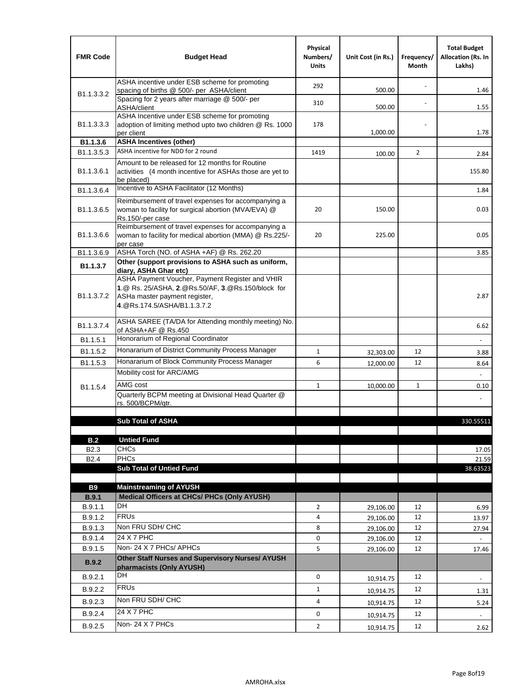| <b>FMR Code</b>            | <b>Budget Head</b>                                                                                                                                                    | Physical<br>Numbers/<br><b>Units</b> | Unit Cost (in Rs.) | Frequency/<br>Month | <b>Total Budget</b><br><b>Allocation (Rs. In</b><br>Lakhs) |
|----------------------------|-----------------------------------------------------------------------------------------------------------------------------------------------------------------------|--------------------------------------|--------------------|---------------------|------------------------------------------------------------|
|                            | ASHA incentive under ESB scheme for promoting<br>spacing of births @ 500/- per ASHA/client                                                                            | 292                                  | 500.00             |                     | 1.46                                                       |
| B <sub>1.1</sub> , 3, 3, 2 | Spacing for 2 years after marriage @ 500/- per<br>ASHA/client                                                                                                         | 310                                  | 500.00             |                     | 1.55                                                       |
| B1.1.3.3.3                 | ASHA Incentive under ESB scheme for promoting<br>adoption of limiting method upto two children @ Rs. 1000<br>per client                                               | 178                                  | 1,000.00           |                     | 1.78                                                       |
| B1.1.3.6                   | <b>ASHA Incentives (other)</b>                                                                                                                                        |                                      |                    |                     |                                                            |
| B <sub>1.1</sub> , 3, 5, 3 | ASHA incentive for NDD for 2 round                                                                                                                                    | 1419                                 | 100.00             | $\overline{2}$      | 2.84                                                       |
| B <sub>1.1</sub> .3.6.1    | Amount to be released for 12 months for Routine<br>activities (4 month incentive for ASHAs those are yet to<br>be placed)                                             |                                      |                    |                     | 155.80                                                     |
| B1.1.3.6.4                 | Incentive to ASHA Facilitator (12 Months)                                                                                                                             |                                      |                    |                     | 1.84                                                       |
| B <sub>1.1</sub> .3.6.5    | Reimbursement of travel expenses for accompanying a<br>woman to facility for surgical abortion (MVA/EVA) @<br>Rs.150/-per case                                        | 20                                   | 150.00             |                     | 0.03                                                       |
| B <sub>1.1</sub> .3.6.6    | Reimbursement of travel expenses for accompanying a<br>woman to facility for medical abortion (MMA) @ Rs.225/-<br>per case                                            | 20                                   | 225.00             |                     | 0.05                                                       |
| B1.1.3.6.9                 | ASHA Torch (NO. of ASHA +AF) @ Rs. 262.20                                                                                                                             |                                      |                    |                     | 3.85                                                       |
| B1.1.3.7                   | Other (support provisions to ASHA such as uniform,<br>diary, ASHA Ghar etc)                                                                                           |                                      |                    |                     |                                                            |
| B <sub>1.1</sub> .3.7.2    | ASHA Payment Voucher, Payment Register and VHIR<br>1.@ Rs. 25/ASHA, 2.@Rs.50/AF, 3.@Rs.150/block for<br>ASHa master payment register,<br>4. @Rs.174.5/ASHA/B1.1.3.7.2 |                                      |                    |                     | 2.87                                                       |
| B <sub>1.1</sub> , 3.7.4   | ASHA SAREE (TA/DA for Attending monthly meeting) No.<br>of ASHA+AF @ Rs.450                                                                                           |                                      |                    |                     | 6.62                                                       |
| B <sub>1.1</sub> .5.1      | Honorarium of Regional Coordinator                                                                                                                                    |                                      |                    |                     |                                                            |
| B <sub>1.1.5.2</sub>       | Honararium of District Community Process Manager                                                                                                                      | $\mathbf{1}$                         | 32,303.00          | 12                  | 3.88                                                       |
| B1.1.5.3                   | Honararium of Block Community Process Manager                                                                                                                         | 6                                    | 12,000.00          | 12                  | 8.64                                                       |
|                            | Mobility cost for ARC/AMG                                                                                                                                             |                                      |                    |                     |                                                            |
| B <sub>1.1.5.4</sub>       | AMG cost                                                                                                                                                              | $\mathbf{1}$                         | 10,000.00          | $\mathbf{1}$        | 0.10                                                       |
|                            | Quarterly BCPM meeting at Divisional Head Quarter @<br>rs. 500/BCPM/qtr.                                                                                              |                                      |                    |                     |                                                            |
|                            |                                                                                                                                                                       |                                      |                    |                     |                                                            |
|                            | <b>Sub Total of ASHA</b>                                                                                                                                              |                                      |                    |                     | 330.55511                                                  |
| B.2                        | <b>Untied Fund</b>                                                                                                                                                    |                                      |                    |                     |                                                            |
| B <sub>2.3</sub>           | <b>CHCs</b>                                                                                                                                                           |                                      |                    |                     | 17.05                                                      |
| B <sub>2.4</sub>           | PHCs                                                                                                                                                                  |                                      |                    |                     | 21.59                                                      |
|                            | <b>Sub Total of Untied Fund</b>                                                                                                                                       |                                      |                    |                     | 38.63523                                                   |
| <b>B9</b>                  | <b>Mainstreaming of AYUSH</b>                                                                                                                                         |                                      |                    |                     |                                                            |
| B.9.1                      | Medical Officers at CHCs/ PHCs (Only AYUSH)                                                                                                                           |                                      |                    |                     |                                                            |
| B.9.1.1                    | <b>DH</b>                                                                                                                                                             | $\overline{2}$                       | 29,106.00          | 12                  | 6.99                                                       |
| B.9.1.2                    | <b>FRUs</b>                                                                                                                                                           | 4                                    | 29,106.00          | 12                  | 13.97                                                      |
| B.9.1.3                    | Non FRU SDH/ CHC                                                                                                                                                      | 8                                    | 29,106.00          | 12                  | 27.94                                                      |
| B.9.1.4                    | 24 X 7 PHC                                                                                                                                                            | 0                                    | 29,106.00          | 12                  |                                                            |
| B.9.1.5                    | Non-24 X 7 PHCs/ APHCs                                                                                                                                                | 5                                    | 29,106.00          | 12                  | 17.46                                                      |
| B.9.2                      | Other Staff Nurses and Supervisory Nurses/ AYUSH<br>pharmacists (Only AYUSH)                                                                                          |                                      |                    |                     |                                                            |
| B.9.2.1                    | DH                                                                                                                                                                    | $\mathbf 0$                          | 10,914.75          | 12                  | $\overline{\phantom{a}}$                                   |
| B.9.2.2                    | <b>FRUs</b>                                                                                                                                                           | $\mathbf{1}$                         | 10,914.75          | 12                  | 1.31                                                       |
| B.9.2.3                    | Non FRU SDH/ CHC                                                                                                                                                      | 4                                    | 10,914.75          | 12                  | 5.24                                                       |
| B.9.2.4                    | 24 X 7 PHC                                                                                                                                                            | 0                                    | 10,914.75          | 12                  | $\overline{\phantom{a}}$                                   |
| B.9.2.5                    | Non-24 X 7 PHCs                                                                                                                                                       | $\overline{2}$                       | 10,914.75          | 12                  | 2.62                                                       |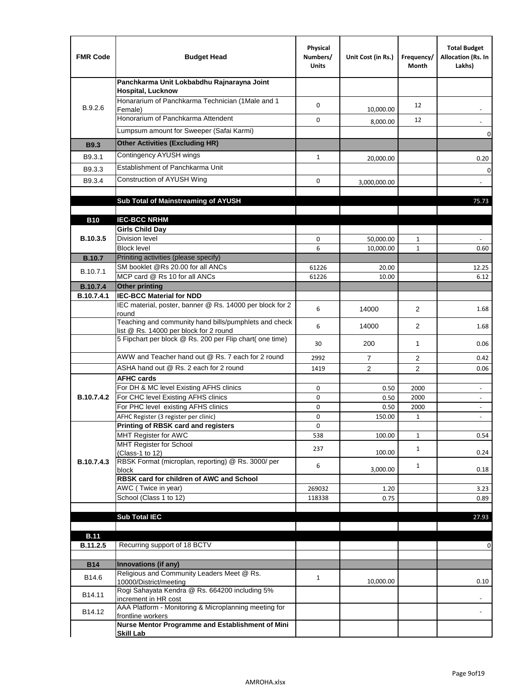| <b>FMR Code</b>               | <b>Budget Head</b>                                                                              | Physical<br>Numbers/<br><b>Units</b> | Unit Cost (in Rs.) | Frequency/<br>Month  | <b>Total Budget</b><br>Allocation (Rs. In<br>Lakhs) |
|-------------------------------|-------------------------------------------------------------------------------------------------|--------------------------------------|--------------------|----------------------|-----------------------------------------------------|
|                               | Panchkarma Unit Lokbabdhu Rajnarayna Joint<br><b>Hospital, Lucknow</b>                          |                                      |                    |                      |                                                     |
| B.9.2.6                       | Honararium of Panchkarma Technician (1Male and 1<br>Female)                                     | 0                                    | 10,000.00          | 12                   |                                                     |
|                               | Honorarium of Panchkarma Attendent                                                              | 0                                    | 8,000.00           | 12                   |                                                     |
|                               | Lumpsum amount for Sweeper (Safai Karmi)                                                        |                                      |                    |                      | 0                                                   |
| <b>B9.3</b>                   | <b>Other Activities (Excluding HR)</b>                                                          |                                      |                    |                      |                                                     |
| B9.3.1                        | Contingency AYUSH wings                                                                         | $\mathbf{1}$                         | 20,000.00          |                      | 0.20                                                |
| B9.3.3                        | Establishment of Panchkarma Unit                                                                |                                      |                    |                      | $\mathbf 0$                                         |
| B9.3.4                        | Construction of AYUSH Wing                                                                      | 0                                    | 3,000,000.00       |                      |                                                     |
|                               |                                                                                                 |                                      |                    |                      |                                                     |
|                               | Sub Total of Mainstreaming of AYUSH                                                             |                                      |                    |                      | 75.73                                               |
|                               |                                                                                                 |                                      |                    |                      |                                                     |
| <b>B10</b>                    | <b>IEC-BCC NRHM</b>                                                                             |                                      |                    |                      |                                                     |
| B.10.3.5                      | <b>Girls Child Day</b><br><b>Division level</b>                                                 | 0                                    | 50,000.00          | 1                    |                                                     |
|                               | <b>Block level</b>                                                                              | 6                                    | 10,000.00          | $\mathbf{1}$         | 0.60                                                |
| <b>B.10.7</b>                 | Priniting activities (please specify)                                                           |                                      |                    |                      |                                                     |
| B.10.7.1                      | SM booklet @Rs 20.00 for all ANCs                                                               | 61226                                | 20.00              |                      | 12.25                                               |
|                               | MCP card @ Rs 10 for all ANCs                                                                   | 61226                                | 10.00              |                      | 6.12                                                |
| <b>B.10.7.4</b><br>B.10.7.4.1 | <b>Other printing</b><br><b>IEC-BCC Material for NDD</b>                                        |                                      |                    |                      |                                                     |
|                               | IEC material, poster, banner @ Rs. 14000 per block for 2<br>round                               | 6                                    | 14000              | $\overline{2}$       | 1.68                                                |
|                               | Teaching and community hand bills/pumphlets and check<br>list @ Rs. 14000 per block for 2 round | 6                                    | 14000              | $\overline{2}$       | 1.68                                                |
|                               | 5 Fipchart per block @ Rs. 200 per Flip chart( one time)                                        | 30                                   | 200                | $\mathbf{1}$         | 0.06                                                |
|                               | AWW and Teacher hand out @ Rs. 7 each for 2 round                                               | 2992                                 | $\overline{7}$     | 2                    | 0.42                                                |
|                               | ASHA hand out @ Rs. 2 each for 2 round                                                          | 1419                                 | $\overline{2}$     | $\overline{2}$       | 0.06                                                |
|                               | <b>AFHC cards</b>                                                                               |                                      |                    |                      |                                                     |
|                               | For DH & MC level Existing AFHS clinics                                                         | 0                                    | 0.50               | 2000                 | $\overline{\phantom{a}}$                            |
| <b>B.10.7.4.2</b>             | For CHC level Existing AFHS clinics<br>For PHC level existing AFHS clinics                      | 0                                    | 0.50               | 2000                 | $\overline{\phantom{a}}$                            |
|                               | AFHC Register (3 register per clinic)                                                           | 0<br>0                               | 0.50<br>150.00     | 2000<br>$\mathbf{1}$ | $\bar{\phantom{a}}$<br>$\blacksquare$               |
|                               | Printing of RBSK card and registers                                                             | 0                                    |                    |                      |                                                     |
|                               | MHT Register for AWC                                                                            | 538                                  | 100.00             | $\mathbf{1}$         | 0.54                                                |
|                               | MHT Register for School                                                                         | 237                                  |                    | $\mathbf{1}$         |                                                     |
| B.10.7.4.3                    | (Class-1 to 12)<br>RBSK Format (microplan, reporting) @ Rs. 3000/ per                           |                                      | 100.00             |                      | 0.24                                                |
|                               | block                                                                                           | 6                                    | 3,000.00           | $\mathbf{1}$         | 0.18                                                |
|                               | RBSK card for children of AWC and School                                                        |                                      |                    |                      |                                                     |
|                               | AWC (Twice in year)                                                                             | 269032                               | 1.20               |                      | 3.23                                                |
|                               | School (Class 1 to 12)                                                                          | 118338                               | 0.75               |                      | 0.89                                                |
|                               | <b>Sub Total IEC</b>                                                                            |                                      |                    |                      | 27.93                                               |
|                               |                                                                                                 |                                      |                    |                      |                                                     |
| <b>B.11</b>                   |                                                                                                 |                                      |                    |                      |                                                     |
| B.11.2.5                      | Recurring support of 18 BCTV                                                                    |                                      |                    |                      | 0                                                   |
|                               |                                                                                                 |                                      |                    |                      |                                                     |
| <b>B14</b>                    | Innovations (if any)<br>Religious and Community Leaders Meet @ Rs.                              |                                      |                    |                      |                                                     |
| B14.6                         | 10000/District/meeting                                                                          | $\mathbf{1}$                         | 10,000.00          |                      | 0.10                                                |
| B14.11                        | Rogi Sahayata Kendra @ Rs. 664200 including 5%<br>increment in HR cost                          |                                      |                    |                      |                                                     |
| B14.12                        | AAA Platform - Monitoring & Microplanning meeting for<br>frontline workers                      |                                      |                    |                      |                                                     |
|                               | Nurse Mentor Programme and Establishment of Mini                                                |                                      |                    |                      |                                                     |
|                               | <b>Skill Lab</b>                                                                                |                                      |                    |                      |                                                     |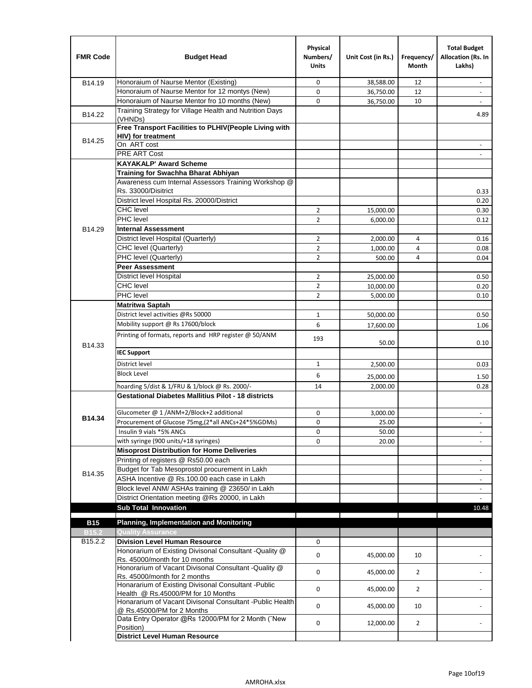| <b>FMR Code</b>     | <b>Budget Head</b>                                                                      | Physical<br>Numbers/<br><b>Units</b> | Unit Cost (in Rs.) | Frequency/<br>Month | <b>Total Budget</b><br>Allocation (Rs. In<br>Lakhs) |
|---------------------|-----------------------------------------------------------------------------------------|--------------------------------------|--------------------|---------------------|-----------------------------------------------------|
| B14.19              | Honoraium of Naurse Mentor (Existing)                                                   | 0                                    | 38,588.00          | 12                  |                                                     |
|                     | Honoraium of Naurse Mentor for 12 montys (New)                                          | 0                                    | 36,750.00          | 12                  | $\overline{a}$                                      |
|                     | Honoraium of Naurse Mentor fro 10 months (New)                                          | 0                                    | 36,750.00          | 10                  | $\blacksquare$                                      |
| B14.22              | Training Strategy for Village Health and Nutrition Days<br>(VHNDs)                      |                                      |                    |                     | 4.89                                                |
|                     | Free Transport Facilities to PLHIV(People Living with                                   |                                      |                    |                     |                                                     |
| B14.25              | HIV) for treatment                                                                      |                                      |                    |                     |                                                     |
|                     | On ART cost                                                                             |                                      |                    |                     |                                                     |
|                     | PRE ART Cost                                                                            |                                      |                    |                     |                                                     |
|                     | <b>KAYAKALP' Award Scheme</b>                                                           |                                      |                    |                     |                                                     |
|                     | Training for Swachha Bharat Abhiyan                                                     |                                      |                    |                     |                                                     |
|                     | Awareness cum Internal Assessors Training Workshop @                                    |                                      |                    |                     |                                                     |
|                     | Rs. 33000/Disitrict                                                                     |                                      |                    |                     | 0.33                                                |
|                     | District level Hospital Rs. 20000/District                                              |                                      |                    |                     | 0.20                                                |
|                     | <b>CHC</b> level                                                                        | 2                                    | 15,000.00          |                     | 0.30                                                |
|                     | PHC level                                                                               | $\overline{2}$                       | 6,000.00           |                     | 0.12                                                |
| B14.29              | <b>Internal Assessment</b>                                                              |                                      |                    |                     |                                                     |
|                     | District level Hospital (Quarterly)                                                     | $\overline{2}$                       | 2,000.00           | 4                   | 0.16                                                |
|                     | CHC level (Quarterly)                                                                   | $\overline{2}$                       | 1,000.00           | 4                   | 0.08                                                |
|                     | PHC level (Quarterly)                                                                   | $\overline{2}$                       | 500.00             | 4                   | 0.04                                                |
|                     | <b>Peer Assessment</b>                                                                  |                                      |                    |                     |                                                     |
|                     | <b>District level Hospital</b>                                                          | 2                                    | 25,000.00          |                     | 0.50                                                |
|                     | <b>CHC</b> level                                                                        | $\overline{2}$                       | 10,000.00          |                     | 0.20                                                |
|                     | PHC level                                                                               | $\overline{2}$                       | 5,000.00           |                     | 0.10                                                |
|                     | <b>Matritwa Saptah</b>                                                                  |                                      |                    |                     |                                                     |
|                     | District level activities @Rs 50000                                                     | 1                                    | 50,000.00          |                     | 0.50                                                |
|                     | Mobility support @ Rs 17600/block                                                       | 6                                    | 17,600.00          |                     | 1.06                                                |
| B14.33              | Printing of formats, reports and HRP register @ 50/ANM                                  | 193                                  | 50.00              |                     | 0.10                                                |
|                     | <b>IEC Support</b>                                                                      |                                      |                    |                     |                                                     |
|                     | District level                                                                          | 1                                    | 2,500.00           |                     | 0.03                                                |
|                     | <b>Block Level</b>                                                                      | 6                                    | 25,000.00          |                     | 1.50                                                |
|                     | hoarding 5/dist & 1/FRU & 1/block @ Rs. 2000/-                                          | 14                                   | 2,000.00           |                     | 0.28                                                |
|                     | <b>Gestational Diabetes Mallitius Pilot - 18 districts</b>                              |                                      |                    |                     |                                                     |
|                     | Glucometer @ 1 /ANM+2/Block+2 additional                                                | 0                                    |                    |                     |                                                     |
| B14.34              | Procurement of Glucose 75mg, (2*all ANCs+24*5%GDMs)                                     | 0                                    | 3,000.00           |                     |                                                     |
|                     | Insulin 9 vials *5% ANCs                                                                |                                      | 25.00              |                     |                                                     |
|                     | with syringe (900 units/+18 syringes)                                                   | 0<br>0                               | 50.00              |                     | $\blacksquare$                                      |
|                     | <b>Misoprost Distribution for Home Deliveries</b>                                       |                                      | 20.00              |                     |                                                     |
|                     | Printing of registers @ Rs50.00 each                                                    |                                      |                    |                     |                                                     |
|                     | Budget for Tab Mesoprostol procurement in Lakh                                          |                                      |                    |                     | $\overline{\phantom{a}}$<br>$\blacksquare$          |
| B14.35              | ASHA Incentive @ Rs.100.00 each case in Lakh                                            |                                      |                    |                     | $\overline{\phantom{a}}$                            |
|                     | Block level ANM/ ASHAs training @ 23650/ in Lakh                                        |                                      |                    |                     |                                                     |
|                     | District Orientation meeting @Rs 20000, in Lakh                                         |                                      |                    |                     | $\omega$                                            |
|                     | <b>Sub Total Innovation</b>                                                             |                                      |                    |                     | 10.48                                               |
| <b>B15</b>          | <b>Planning, Implementation and Monitoring</b>                                          |                                      |                    |                     |                                                     |
| <b>B15.2</b>        | <b>Quality Assurance</b>                                                                |                                      |                    |                     |                                                     |
| B <sub>15.2.2</sub> | <b>Division Level Human Resource</b>                                                    | 0                                    |                    |                     |                                                     |
|                     | Honorarium of Existing Divisonal Consultant - Quality @                                 |                                      |                    |                     |                                                     |
|                     | Rs. 45000/month for 10 months                                                           | 0                                    | 45,000.00          | 10                  |                                                     |
|                     | Honorarium of Vacant Divisonal Consultant - Quality @                                   | 0                                    |                    |                     |                                                     |
|                     | Rs. 45000/month for 2 months                                                            |                                      | 45,000.00          | $\overline{2}$      |                                                     |
|                     | Honararium of Existing Divisonal Consultant - Public                                    | 0                                    | 45,000.00          | $\overline{2}$      |                                                     |
|                     | Health @ Rs.45000/PM for 10 Months                                                      |                                      |                    |                     |                                                     |
|                     | Honararium of Vacant Divisonal Consultant - Public Health<br>@ Rs.45000/PM for 2 Months | 0                                    | 45,000.00          | 10                  |                                                     |
|                     | Data Entry Operator @Rs 12000/PM for 2 Month ("New<br>Position)                         | 0                                    | 12,000.00          | $\overline{2}$      |                                                     |
|                     | <b>District Level Human Resource</b>                                                    |                                      |                    |                     |                                                     |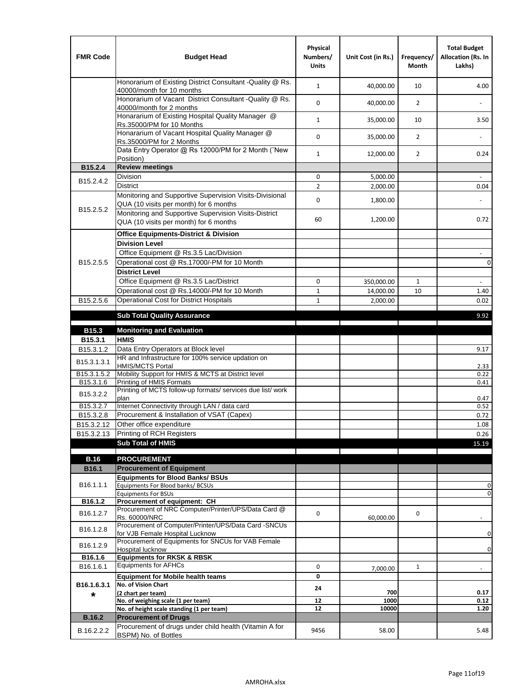| <b>FMR Code</b>         | <b>Budget Head</b>                                                                                | Physical<br>Numbers/<br><b>Units</b> | Unit Cost (in Rs.) | Frequency/<br><b>Month</b> | <b>Total Budget</b><br>Allocation (Rs. In<br>Lakhs) |
|-------------------------|---------------------------------------------------------------------------------------------------|--------------------------------------|--------------------|----------------------------|-----------------------------------------------------|
|                         | Honorarium of Existing District Consultant -Quality @ Rs.<br>40000/month for 10 months            | $\mathbf{1}$                         | 40,000.00          | 10                         | 4.00                                                |
|                         | Honorarium of Vacant District Consultant -Quality @ Rs.<br>40000/month for 2 months               | $\mathbf 0$                          | 40,000.00          | $\overline{2}$             |                                                     |
|                         | Honararium of Existing Hospital Quality Manager @<br>Rs.35000/PM for 10 Months                    | $\mathbf{1}$                         | 35,000.00          | 10                         | 3.50                                                |
|                         | Honararium of Vacant Hospital Quality Manager @<br>Rs.35000/PM for 2 Months                       | $\mathbf 0$                          | 35,000.00          | $\overline{2}$             |                                                     |
|                         | Data Entry Operator @ Rs 12000/PM for 2 Month ("New<br>Position)                                  | $\mathbf{1}$                         | 12,000.00          | $\overline{2}$             | 0.24                                                |
| B15.2.4                 | <b>Review meetings</b>                                                                            |                                      |                    |                            |                                                     |
| B <sub>15.2</sub> .4.2  | Division                                                                                          | 0                                    | 5,000.00           |                            |                                                     |
|                         | <b>District</b>                                                                                   | $\overline{2}$                       | 2,000.00           |                            | 0.04                                                |
|                         | Monitoring and Supportive Supervision Visits-Divisional<br>QUA (10 visits per month) for 6 months | $\mathbf 0$                          | 1,800.00           |                            |                                                     |
| B15.2.5.2               | Monitoring and Supportive Supervision Visits-District<br>QUA (10 visits per month) for 6 months   | 60                                   | 1,200.00           |                            | 0.72                                                |
|                         | <b>Office Equipments-District &amp; Division</b>                                                  |                                      |                    |                            |                                                     |
|                         | <b>Division Level</b>                                                                             |                                      |                    |                            |                                                     |
|                         | Office Equipment @ Rs.3.5 Lac/Division                                                            |                                      |                    |                            | $\overline{\phantom{a}}$                            |
| B15.2.5.5               | Operational cost @ Rs.17000/-PM for 10 Month                                                      |                                      |                    |                            | $\pmb{0}$                                           |
|                         | <b>District Level</b>                                                                             |                                      |                    |                            |                                                     |
|                         | Office Equipment @ Rs.3.5 Lac/District                                                            | 0                                    | 350,000.00         | $\mathbf{1}$               | $\blacksquare$                                      |
|                         | Operational cost @ Rs.14000/-PM for 10 Month                                                      | $1\,$                                | 14,000.00          | 10                         | 1.40                                                |
| B15.2.5.6               | <b>Operational Cost for District Hospitals</b>                                                    | $\mathbf{1}$                         | 2,000.00           |                            | 0.02                                                |
|                         | <b>Sub Total Quality Assurance</b>                                                                |                                      |                    |                            | 9.92                                                |
|                         |                                                                                                   |                                      |                    |                            |                                                     |
| B15.3                   | <b>Monitoring and Evaluation</b><br><b>HMIS</b>                                                   |                                      |                    |                            |                                                     |
| B15.3.1<br>B15.3.1.2    | Data Entry Operators at Block level                                                               |                                      |                    |                            | 9.17                                                |
| B15.3.1.3.1             | HR and Infrastructure for 100% service updation on<br><b>HMIS/MCTS Portal</b>                     |                                      |                    |                            | 2.33                                                |
| B <sub>15.3.1.5.2</sub> | Mobility Support for HMIS & MCTS at District level                                                |                                      |                    |                            | 0.22                                                |
| B15.3.1.6               | Printing of HMIS Formats                                                                          |                                      |                    |                            | 0.41                                                |
| B15.3.2.2               | Printing of MCTS follow-up formats/ services due list/ work<br>plan                               |                                      |                    |                            | 0.47                                                |
| B15.3.2.7               | Internet Connectivity through LAN / data card                                                     |                                      |                    |                            | 0.52                                                |
| B15.3.2.8               | Procurement & Installation of VSAT (Capex)                                                        |                                      |                    |                            | 0.72                                                |
| B15.3.2.12              | Other office expenditure                                                                          |                                      |                    |                            | 1.08                                                |
| B15.3.2.13              | Printing of RCH Registers                                                                         |                                      |                    |                            | 0.26                                                |
|                         | <b>Sub Total of HMIS</b>                                                                          |                                      |                    |                            | 15.19                                               |
| <b>B.16</b>             | <b>PROCUREMENT</b>                                                                                |                                      |                    |                            |                                                     |
| B16.1                   | <b>Procurement of Equipment</b>                                                                   |                                      |                    |                            |                                                     |
|                         | <b>Equipments for Blood Banks/ BSUs</b>                                                           |                                      |                    |                            |                                                     |
| B16.1.1.1               | Equipments For Blood banks/ BCSUs                                                                 |                                      |                    |                            | 0                                                   |
|                         | <b>Equipments For BSUs</b>                                                                        |                                      |                    |                            | 0                                                   |
| B16.1.2                 | Procurement of equipment: CH<br>Procurement of NRC Computer/Printer/UPS/Data Card @               |                                      |                    |                            |                                                     |
| B16.1.2.7               | Rs. 60000/NRC                                                                                     | 0                                    | 60,000.00          | 0                          |                                                     |
| B16.1.2.8               | Procurement of Computer/Printer/UPS/Data Card -SNCUs                                              |                                      |                    |                            |                                                     |
|                         | for VJB Female Hospital Lucknow                                                                   |                                      |                    |                            | 0                                                   |
| B16.1.2.9               | Procurement of Equipments for SNCUs for VAB Female<br>Hospital lucknow                            |                                      |                    |                            | 0                                                   |
| B16.1.6                 | <b>Equipments for RKSK &amp; RBSK</b>                                                             |                                      |                    |                            |                                                     |
| B16.1.6.1               | <b>Equipments for AFHCs</b>                                                                       | 0                                    | 7,000.00           | $\mathbf{1}$               |                                                     |
|                         | <b>Equipment for Mobile health teams</b>                                                          | 0                                    |                    |                            |                                                     |
| B16.1.6.3.1             | No. of Vision Chart                                                                               | 24                                   |                    |                            |                                                     |
| *                       | (2 chart per team)<br>No. of weighing scale (1 per team)                                          | 12                                   | 700<br>1000        |                            | 0.17<br>0.12                                        |
|                         | No. of height scale standing (1 per team)                                                         | 12                                   | 10000              |                            | 1.20                                                |
| <b>B.16.2</b>           | <b>Procurement of Drugs</b>                                                                       |                                      |                    |                            |                                                     |
|                         | Procurement of drugs under child health (Vitamin A for                                            |                                      |                    |                            |                                                     |
| B.16.2.2.2              | BSPM) No. of Bottles                                                                              | 9456                                 | 58.00              |                            | 5.48                                                |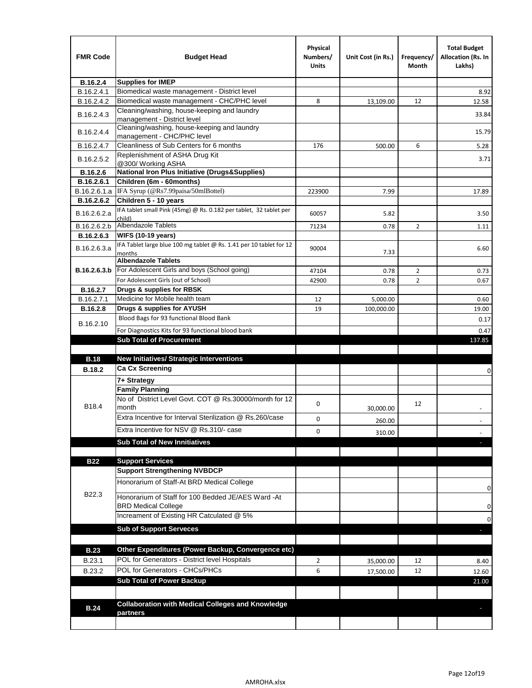| <b>FMR Code</b>               | <b>Budget Head</b>                                                                   | Physical<br>Numbers/<br>Units | Unit Cost (in Rs.)     | Frequency/<br>Month | <b>Total Budget</b><br><b>Allocation (Rs. In</b><br>Lakhs) |
|-------------------------------|--------------------------------------------------------------------------------------|-------------------------------|------------------------|---------------------|------------------------------------------------------------|
| B.16.2.4                      | <b>Supplies for IMEP</b>                                                             |                               |                        |                     |                                                            |
| B.16.2.4.1                    | Biomedical waste management - District level                                         |                               |                        |                     | 8.92                                                       |
| B.16.2.4.2                    | Biomedical waste management - CHC/PHC level                                          | 8                             | 13,109.00              | 12                  | 12.58                                                      |
| B.16.2.4.3                    | Cleaning/washing, house-keeping and laundry<br>management - District level           |                               |                        |                     | 33.84                                                      |
| B.16.2.4.4                    | Cleaning/washing, house-keeping and laundry<br>management - CHC/PHC level            |                               |                        |                     | 15.79                                                      |
| B.16.2.4.7                    | Cleanliness of Sub Centers for 6 months                                              | 176                           | 500.00                 | 6                   | 5.28                                                       |
| B.16.2.5.2                    | Replenishment of ASHA Drug Kit<br>@300/ Working ASHA                                 |                               |                        |                     | 3.71                                                       |
| B.16.2.6                      | <b>National Iron Plus Initiative (Drugs&amp;Supplies)</b>                            |                               |                        |                     |                                                            |
| B.16.2.6.1                    | Children (6m - 60months)                                                             |                               |                        |                     |                                                            |
| B.16.2.6.1.a                  | IFA Syrup (@Rs7.99paisa/50mlBottel)                                                  | 223900                        | 7.99                   |                     | 17.89                                                      |
| B.16.2.6.2                    | Children 5 - 10 years                                                                |                               |                        |                     |                                                            |
| B.16.2.6.2.a                  | IFA tablet small Pink (45mg) @ Rs. 0.182 per tablet, 32 tablet per<br>child)         | 60057                         | 5.82                   |                     | 3.50                                                       |
| B.16.2.6.2.b                  | <b>Albendazole Tablets</b>                                                           | 71234                         | 0.78                   | 2                   | 1.11                                                       |
| B.16.2.6.3                    | <b>WIFS (10-19 years)</b>                                                            |                               |                        |                     |                                                            |
| B.16.2.6.3.a                  | IFA Tablet large blue 100 mg tablet @ Rs. 1.41 per 10 tablet for 12<br>months        | 90004                         | 7.33                   |                     | 6.60                                                       |
|                               | <b>Albendazole Tablets</b>                                                           |                               |                        |                     |                                                            |
| B.16.2.6.3.b                  | For Adolescent Girls and boys (School going)                                         | 47104                         | 0.78                   | $\overline{2}$      | 0.73                                                       |
|                               | For Adolescent Girls (out of School)                                                 | 42900                         | 0.78                   | $\overline{2}$      | 0.67                                                       |
| B.16.2.7                      | Drugs & supplies for RBSK<br>Medicine for Mobile health team                         |                               |                        |                     |                                                            |
| B.16.2.7.1<br><b>B.16.2.8</b> | Drugs & supplies for AYUSH                                                           | 12<br>19                      | 5,000.00<br>100,000.00 |                     | 0.60<br>19.00                                              |
|                               | Blood Bags for 93 functional Blood Bank                                              |                               |                        |                     |                                                            |
| B.16.2.10                     |                                                                                      |                               |                        |                     | 0.17                                                       |
|                               | For Diagnostics Kits for 93 functional blood bank<br><b>Sub Total of Procurement</b> |                               |                        |                     | 0.47<br>137.85                                             |
|                               |                                                                                      |                               |                        |                     |                                                            |
| <b>B.18</b>                   | <b>New Initiatives/ Strategic Interventions</b>                                      |                               |                        |                     |                                                            |
| <b>B.18.2</b>                 | <b>Ca Cx Screening</b>                                                               |                               |                        |                     | 0                                                          |
|                               | 7+ Strategy                                                                          |                               |                        |                     |                                                            |
|                               | <b>Family Planning</b>                                                               |                               |                        |                     |                                                            |
| B18.4                         | No of District Level Govt. COT @ Rs.30000/month for 12<br>month                      | 0                             | 30,000.00              | 12                  |                                                            |
|                               | Extra Incentive for Interval Sterilization @ Rs.260/case                             | 0                             |                        |                     |                                                            |
|                               | Extra Incentive for NSV @ Rs.310/- case                                              |                               | 260.00                 |                     |                                                            |
|                               |                                                                                      | 0                             | 310.00                 |                     |                                                            |
|                               | <b>Sub Total of New Innitiatives</b>                                                 |                               |                        |                     |                                                            |
| <b>B22</b>                    | <b>Support Services</b>                                                              |                               |                        |                     |                                                            |
|                               | <b>Support Strengthening NVBDCP</b>                                                  |                               |                        |                     |                                                            |
|                               | Honorarium of Staff-At BRD Medical College                                           |                               |                        |                     |                                                            |
| B22.3                         | Honorarium of Staff for 100 Bedded JE/AES Ward -At                                   |                               |                        |                     | 0                                                          |
|                               | <b>BRD Medical College</b><br>Increament of Existing HR Catculated @ 5%              |                               |                        |                     | 0<br>0                                                     |
|                               | <b>Sub of Support Serveces</b>                                                       |                               |                        |                     |                                                            |
|                               |                                                                                      |                               |                        |                     |                                                            |
| <b>B.23</b>                   | Other Expenditures (Power Backup, Convergence etc)                                   |                               |                        |                     |                                                            |
| B.23.1                        | POL for Generators - District level Hospitals                                        | $\overline{2}$                | 35,000.00              | 12                  | 8.40                                                       |
| B.23.2                        | POL for Generators - CHCs/PHCs                                                       | 6                             | 17,500.00              | 12                  | 12.60                                                      |
|                               | <b>Sub Total of Power Backup</b>                                                     |                               |                        |                     | 21.00                                                      |
|                               |                                                                                      |                               |                        |                     |                                                            |
| <b>B.24</b>                   | <b>Collaboration with Medical Colleges and Knowledge</b>                             |                               |                        |                     |                                                            |
|                               | partners                                                                             |                               |                        |                     |                                                            |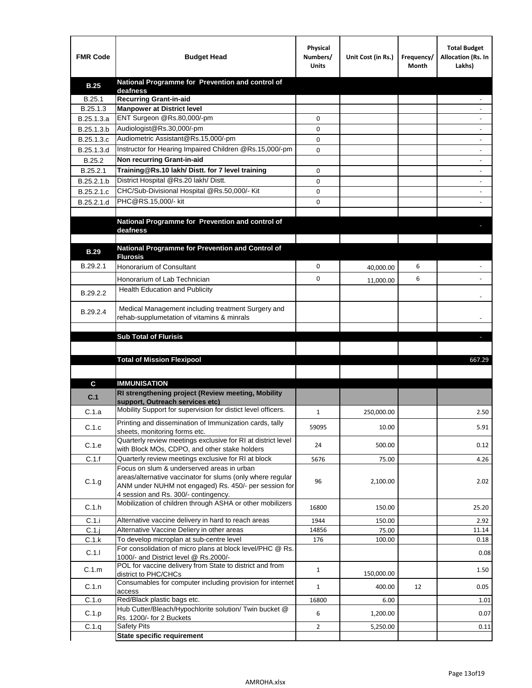| <b>FMR Code</b> | <b>Budget Head</b>                                                                                   | Physical<br>Numbers/<br><b>Units</b> | Unit Cost (in Rs.) | Frequency/<br>Month | <b>Total Budget</b><br>Allocation (Rs. In<br>Lakhs) |
|-----------------|------------------------------------------------------------------------------------------------------|--------------------------------------|--------------------|---------------------|-----------------------------------------------------|
| <b>B.25</b>     | National Programme for Prevention and control of                                                     |                                      |                    |                     |                                                     |
| B.25.1          | deafness<br><b>Recurring Grant-in-aid</b>                                                            |                                      |                    |                     |                                                     |
| B.25.1.3        | <b>Manpower at District level</b>                                                                    |                                      |                    |                     |                                                     |
| B.25.1.3.a      | ENT Surgeon @Rs.80,000/-pm                                                                           | 0                                    |                    |                     |                                                     |
| B.25.1.3.b      | Audiologist@Rs.30,000/-pm                                                                            | 0                                    |                    |                     |                                                     |
| B.25.1.3.c      | Audiometric Assistant@Rs.15,000/-pm                                                                  | 0                                    |                    |                     |                                                     |
| B.25.1.3.d      | Instructor for Hearing Impaired Children @Rs.15,000/-pm                                              | 0                                    |                    |                     |                                                     |
| B.25.2          | Non recurring Grant-in-aid                                                                           |                                      |                    |                     |                                                     |
| B.25.2.1        | Training@Rs.10 lakh/ Distt. for 7 level training                                                     | 0                                    |                    |                     |                                                     |
| B.25.2.1.b      | District Hospital @Rs.20 lakh/Distt.                                                                 | 0                                    |                    |                     |                                                     |
| B.25.2.1.c      | CHC/Sub-Divisional Hospital @Rs.50,000/- Kit                                                         | 0                                    |                    |                     |                                                     |
| B.25.2.1.d      | PHC@RS.15,000/- kit                                                                                  | 0                                    |                    |                     |                                                     |
|                 |                                                                                                      |                                      |                    |                     |                                                     |
|                 | National Programme for Prevention and control of                                                     |                                      |                    |                     |                                                     |
|                 | deafness                                                                                             |                                      |                    |                     |                                                     |
| <b>B.29</b>     | National Programme for Prevention and Control of                                                     |                                      |                    |                     |                                                     |
|                 | <b>Flurosis</b>                                                                                      |                                      |                    |                     |                                                     |
| B.29.2.1        | Honorarium of Consultant                                                                             | 0                                    | 40,000.00          | 6                   |                                                     |
|                 | Honorarium of Lab Technician                                                                         | 0                                    | 11,000.00          | 6                   |                                                     |
| B.29.2.2        | <b>Health Education and Publicity</b>                                                                |                                      |                    |                     |                                                     |
|                 |                                                                                                      |                                      |                    |                     |                                                     |
| B.29.2.4        | Medical Management including treatment Surgery and                                                   |                                      |                    |                     |                                                     |
|                 | rehab-supplumetation of vitamins & minrals                                                           |                                      |                    |                     |                                                     |
|                 | <b>Sub Total of Flurisis</b>                                                                         |                                      |                    |                     |                                                     |
|                 |                                                                                                      |                                      |                    |                     |                                                     |
|                 | <b>Total of Mission Flexipool</b>                                                                    |                                      |                    |                     | 667.29                                              |
|                 |                                                                                                      |                                      |                    |                     |                                                     |
| C               | <b>IMMUNISATION</b>                                                                                  |                                      |                    |                     |                                                     |
|                 | RI strengthening project (Review meeting, Mobility                                                   |                                      |                    |                     |                                                     |
| C.1             | support, Outreach services etc)                                                                      |                                      |                    |                     |                                                     |
| C.1.a           | Mobility Support for supervision for distict level officers.                                         | $\mathbf{1}$                         | 250,000.00         |                     | 2.50                                                |
|                 | Printing and dissemination of Immunization cards, tally                                              |                                      |                    |                     |                                                     |
| C.1.c           | sheets, monitoring forms etc.                                                                        | 59095                                | 10.00              |                     | 5.91                                                |
| C.1.e           | Quarterly review meetings exclusive for RI at district level                                         | 24                                   | 500.00             |                     | 0.12                                                |
| C.1.f           | with Block MOs, CDPO, and other stake holders<br>Quarterly review meetings exclusive for RI at block | 5676                                 | 75.00              |                     | 4.26                                                |
|                 | Focus on slum & underserved areas in urban                                                           |                                      |                    |                     |                                                     |
|                 | areas/alternative vaccinator for slums (only where regular                                           |                                      |                    |                     |                                                     |
| C.1.g           | ANM under NUHM not engaged) Rs. 450/- per session for                                                | 96                                   | 2,100.00           |                     | 2.02                                                |
|                 | 4 session and Rs. 300/- contingency.                                                                 |                                      |                    |                     |                                                     |
| C.1.h           | Mobilization of children through ASHA or other mobilizers                                            | 16800                                | 150.00             |                     | 25.20                                               |
| C.1.i           | Alternative vaccine delivery in hard to reach areas                                                  | 1944                                 | 150.00             |                     | 2.92                                                |
| $C.1$ .j        | Alternative Vaccine Deliery in other areas                                                           | 14856                                | 75.00              |                     | 11.14                                               |
| C.1.k           | To develop microplan at sub-centre level                                                             | 176                                  | 100.00             |                     | 0.18                                                |
| C.1.1           | For consolidation of micro plans at block level/PHC @ Rs.                                            |                                      |                    |                     | 0.08                                                |
|                 | 1000/- and District level @ Rs.2000/-<br>POL for vaccine delivery from State to district and from    |                                      |                    |                     |                                                     |
| C.1.m           | district to PHC/CHCs                                                                                 | $\mathbf{1}$                         | 150,000.00         |                     | 1.50                                                |
| C.1.n           | Consumables for computer including provision for internet                                            | $\mathbf{1}$                         | 400.00             | 12                  | 0.05                                                |
|                 | access                                                                                               |                                      |                    |                     |                                                     |
| C.1.o           | Red/Black plastic bags etc.<br>Hub Cutter/Bleach/Hypochlorite solution/ Twin bucket @                | 16800                                | 6.00               |                     | 1.01                                                |
| C.1.p           | Rs. 1200/- for 2 Buckets                                                                             | 6                                    | 1,200.00           |                     | 0.07                                                |
| C.1.q           | <b>Safety Pits</b>                                                                                   | $\overline{2}$                       | 5,250.00           |                     | 0.11                                                |
|                 | <b>State specific requirement</b>                                                                    |                                      |                    |                     |                                                     |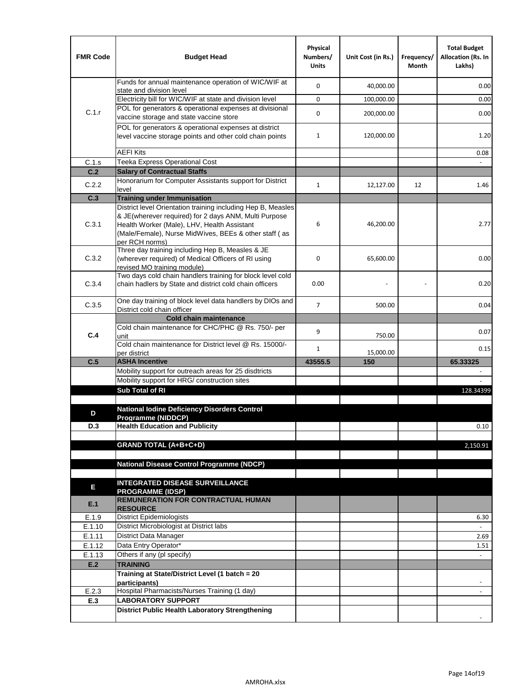| <b>FMR Code</b>  | <b>Budget Head</b>                                                                                                                                                              | Physical<br>Numbers/<br><b>Units</b> | Unit Cost (in Rs.) | Frequency/<br>Month | <b>Total Budget</b><br>Allocation (Rs. In<br>Lakhs) |
|------------------|---------------------------------------------------------------------------------------------------------------------------------------------------------------------------------|--------------------------------------|--------------------|---------------------|-----------------------------------------------------|
|                  | Funds for annual maintenance operation of WIC/WIF at<br>state and division level                                                                                                | 0                                    | 40,000.00          |                     | 0.00                                                |
|                  | Electricity bill for WIC/WIF at state and division level                                                                                                                        | 0                                    | 100,000.00         |                     | 0.00                                                |
| C.1.r            | POL for generators & operational expenses at divisional                                                                                                                         | 0                                    | 200,000.00         |                     | 0.00                                                |
|                  | vaccine storage and state vaccine store                                                                                                                                         |                                      |                    |                     |                                                     |
|                  | POL for generators & operational expenses at district<br>level vaccine storage points and other cold chain points                                                               | $\mathbf{1}$                         | 120,000.00         |                     | 1.20                                                |
|                  | <b>AEFI Kits</b>                                                                                                                                                                |                                      |                    |                     | 0.08                                                |
| C.1.s            | Teeka Express Operational Cost                                                                                                                                                  |                                      |                    |                     |                                                     |
| C.2              | <b>Salary of Contractual Staffs</b>                                                                                                                                             |                                      |                    |                     |                                                     |
| C.2.2            | Honorarium for Computer Assistants support for District<br>level                                                                                                                | $\mathbf{1}$                         | 12,127.00          | 12                  | 1.46                                                |
| C.3              | <b>Training under Immunisation</b>                                                                                                                                              |                                      |                    |                     |                                                     |
|                  | District level Orientation training including Hep B, Measles                                                                                                                    |                                      |                    |                     |                                                     |
| C.3.1            | & JE(wherever required) for 2 days ANM, Multi Purpose<br>Health Worker (Male), LHV, Health Assistant<br>(Male/Female), Nurse MidWives, BEEs & other staff (as<br>per RCH norms) | 6                                    | 46,200.00          |                     | 2.77                                                |
| C.3.2            | Three day training including Hep B, Measles & JE<br>(wherever required) of Medical Officers of RI using<br>revised MO training module)                                          | 0                                    | 65,600.00          |                     | 0.00                                                |
| C.3.4            | Two days cold chain handlers training for block level cold<br>chain hadlers by State and district cold chain officers                                                           | 0.00                                 |                    |                     | 0.20                                                |
| C.3.5            | One day training of block level data handlers by DIOs and<br>District cold chain officer                                                                                        | $\overline{7}$                       | 500.00             |                     | 0.04                                                |
|                  | <b>Cold chain maintenance</b>                                                                                                                                                   |                                      |                    |                     |                                                     |
| C.4              | Cold chain maintenance for CHC/PHC @ Rs. 750/- per<br>unit                                                                                                                      | 9                                    | 750.00             |                     | 0.07                                                |
|                  | Cold chain maintenance for District level @ Rs. 15000/-<br>per district                                                                                                         | 1                                    | 15,000.00          |                     | 0.15                                                |
| C.5              | <b>ASHA Incentive</b>                                                                                                                                                           | 43555.5                              | 150                |                     | 65.33325                                            |
|                  | Mobility support for outreach areas for 25 disdtricts                                                                                                                           |                                      |                    |                     |                                                     |
|                  | Mobility support for HRG/ construction sites                                                                                                                                    |                                      |                    |                     |                                                     |
|                  | Sub Total of RI                                                                                                                                                                 |                                      |                    |                     | 128.34399                                           |
| D                | <b>National lodine Deficiency Disorders Control</b><br>Programme (NIDDCP)                                                                                                       |                                      |                    |                     |                                                     |
| D.3              | <b>Health Education and Publicity</b>                                                                                                                                           |                                      |                    |                     | 0.10                                                |
|                  |                                                                                                                                                                                 |                                      |                    |                     |                                                     |
|                  | <b>GRAND TOTAL (A+B+C+D)</b>                                                                                                                                                    |                                      |                    |                     | 2,150.91                                            |
|                  |                                                                                                                                                                                 |                                      |                    |                     |                                                     |
|                  | National Disease Control Programme (NDCP)                                                                                                                                       |                                      |                    |                     |                                                     |
|                  | <b>INTEGRATED DISEASE SURVEILLANCE</b>                                                                                                                                          |                                      |                    |                     |                                                     |
| Е<br>E.1         | <b>PROGRAMME (IDSP)</b><br><b>REMUNERATION FOR CONTRACTUAL HUMAN</b>                                                                                                            |                                      |                    |                     |                                                     |
|                  | <b>RESOURCE</b>                                                                                                                                                                 |                                      |                    |                     |                                                     |
| E.1.9            | District Epidemiologists<br>District Microbiologist at District labs                                                                                                            |                                      |                    |                     | 6.30                                                |
| E.1.10<br>E.1.11 | District Data Manager                                                                                                                                                           |                                      |                    |                     | 2.69                                                |
| E.1.12           | Data Entry Operator*                                                                                                                                                            |                                      |                    |                     | 1.51                                                |
| E.1.13           | Others if any (pl specify)                                                                                                                                                      |                                      |                    |                     | $\omega$                                            |
| E.2              | <b>TRAINING</b>                                                                                                                                                                 |                                      |                    |                     |                                                     |
|                  | Training at State/District Level (1 batch = 20                                                                                                                                  |                                      |                    |                     |                                                     |
|                  | participants)                                                                                                                                                                   |                                      |                    |                     |                                                     |
| E.2.3<br>E.3     | Hospital Pharmacists/Nurses Training (1 day)<br><b>LABORATORY SUPPORT</b>                                                                                                       |                                      |                    |                     |                                                     |
|                  | <b>District Public Health Laboratory Strengthening</b>                                                                                                                          |                                      |                    |                     |                                                     |
|                  |                                                                                                                                                                                 |                                      |                    |                     |                                                     |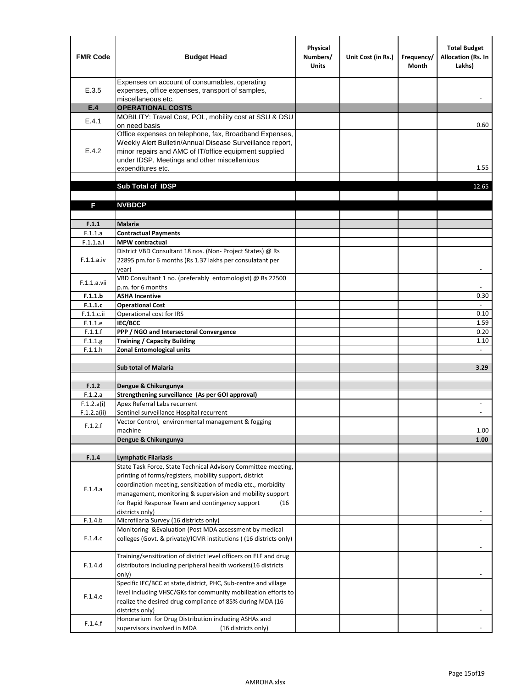| <b>FMR Code</b>    | <b>Budget Head</b>                                                                                                                                                                                                                                | Physical<br>Numbers/<br><b>Units</b> | Unit Cost (in Rs.) | Frequency/<br><b>Month</b> | <b>Total Budget</b><br>Allocation (Rs. In<br>Lakhs) |
|--------------------|---------------------------------------------------------------------------------------------------------------------------------------------------------------------------------------------------------------------------------------------------|--------------------------------------|--------------------|----------------------------|-----------------------------------------------------|
| E.3.5              | Expenses on account of consumables, operating<br>expenses, office expenses, transport of samples,<br>miscellaneous etc.                                                                                                                           |                                      |                    |                            |                                                     |
| E.4                | <b>OPERATIONAL COSTS</b>                                                                                                                                                                                                                          |                                      |                    |                            |                                                     |
| E.4.1              | MOBILITY: Travel Cost, POL, mobility cost at SSU & DSU<br>on need basis                                                                                                                                                                           |                                      |                    |                            | 0.60                                                |
| E.4.2              | Office expenses on telephone, fax, Broadband Expenses,<br>Weekly Alert Bulletin/Annual Disease Surveillance report,<br>minor repairs and AMC of IT/office equipment supplied<br>under IDSP, Meetings and other miscellenious<br>expenditures etc. |                                      |                    |                            | 1.55                                                |
|                    | Sub Total of IDSP                                                                                                                                                                                                                                 |                                      |                    |                            | 12.65                                               |
|                    |                                                                                                                                                                                                                                                   |                                      |                    |                            |                                                     |
| F                  | <b>NVBDCP</b>                                                                                                                                                                                                                                     |                                      |                    |                            |                                                     |
| F.1.1              | Malaria                                                                                                                                                                                                                                           |                                      |                    |                            |                                                     |
| F.1.1.a            | <b>Contractual Payments</b>                                                                                                                                                                                                                       |                                      |                    |                            |                                                     |
| F.1.1.a.i          | <b>MPW</b> contractual                                                                                                                                                                                                                            |                                      |                    |                            |                                                     |
| F.1.1.a.iv         | District VBD Consultant 18 nos. (Non-Project States) @ Rs<br>22895 pm.for 6 months (Rs 1.37 lakhs per consulatant per<br>year)                                                                                                                    |                                      |                    |                            | $\blacksquare$                                      |
| F.1.1.a.vii        | VBD Consultant 1 no. (preferably entomologist) @ Rs 22500<br>p.m. for 6 months                                                                                                                                                                    |                                      |                    |                            |                                                     |
| F.1.1.b            | <b>ASHA Incentive</b>                                                                                                                                                                                                                             |                                      |                    |                            | 0.30                                                |
| F.1.1.c            | <b>Operational Cost</b>                                                                                                                                                                                                                           |                                      |                    |                            | $\blacksquare$                                      |
| F.1.1.c.ii         | Operational cost for IRS                                                                                                                                                                                                                          |                                      |                    |                            | 0.10                                                |
| F.1.1.e            | IEC/BCC                                                                                                                                                                                                                                           |                                      |                    |                            | 1.59                                                |
| F.1.1.f<br>F.1.1.g | PPP / NGO and Intersectoral Convergence<br><b>Training / Capacity Building</b>                                                                                                                                                                    |                                      |                    |                            | 0.20<br>1.10                                        |
| F.1.1.h            | <b>Zonal Entomological units</b>                                                                                                                                                                                                                  |                                      |                    |                            | $\sim$                                              |
|                    |                                                                                                                                                                                                                                                   |                                      |                    |                            |                                                     |
|                    | <b>Sub total of Malaria</b>                                                                                                                                                                                                                       |                                      |                    |                            | 3.29                                                |
|                    |                                                                                                                                                                                                                                                   |                                      |                    |                            |                                                     |
| F.1.2              | Dengue & Chikungunya                                                                                                                                                                                                                              |                                      |                    |                            |                                                     |
| F.1.2.a            | Strengthening surveillance (As per GOI approval)                                                                                                                                                                                                  |                                      |                    |                            |                                                     |
| F.1.2.a(i)         | Apex Referral Labs recurrent<br>Sentinel surveillance Hospital recurrent                                                                                                                                                                          |                                      |                    |                            | $\overline{\phantom{a}}$<br>ä,                      |
| F.1.2.a(ii)        | Vector Control, environmental management & fogging                                                                                                                                                                                                |                                      |                    |                            |                                                     |
| F.1.2.f            | machine                                                                                                                                                                                                                                           |                                      |                    |                            | 1.00                                                |
|                    | Dengue & Chikungunya                                                                                                                                                                                                                              |                                      |                    |                            | 1.00                                                |
|                    |                                                                                                                                                                                                                                                   |                                      |                    |                            |                                                     |
| F.1.4              | <b>Lymphatic Filariasis</b>                                                                                                                                                                                                                       |                                      |                    |                            |                                                     |
|                    | State Task Force, State Technical Advisory Committee meeting,                                                                                                                                                                                     |                                      |                    |                            |                                                     |
|                    | printing of forms/registers, mobility support, district<br>coordination meeting, sensitization of media etc., morbidity                                                                                                                           |                                      |                    |                            |                                                     |
| F.1.4.a            | management, monitoring & supervision and mobility support                                                                                                                                                                                         |                                      |                    |                            |                                                     |
|                    | for Rapid Response Team and contingency support<br>(16)                                                                                                                                                                                           |                                      |                    |                            |                                                     |
|                    | districts only)                                                                                                                                                                                                                                   |                                      |                    |                            |                                                     |
| F.1.4.b            | Microfilaria Survey (16 districts only)                                                                                                                                                                                                           |                                      |                    |                            |                                                     |
| F.1.4.c            | Monitoring & Evaluation (Post MDA assessment by medical<br>colleges (Govt. & private)/ICMR institutions ) (16 districts only)                                                                                                                     |                                      |                    |                            |                                                     |
|                    |                                                                                                                                                                                                                                                   |                                      |                    |                            |                                                     |
| F.1.4.d            | Training/sensitization of district level officers on ELF and drug<br>distributors including peripheral health workers(16 districts                                                                                                                |                                      |                    |                            |                                                     |
|                    | only)                                                                                                                                                                                                                                             |                                      |                    |                            |                                                     |
|                    | Specific IEC/BCC at state, district, PHC, Sub-centre and village                                                                                                                                                                                  |                                      |                    |                            |                                                     |
| F.1.4.e            | level including VHSC/GKs for community mobilization efforts to<br>realize the desired drug compliance of 85% during MDA (16                                                                                                                       |                                      |                    |                            |                                                     |
|                    | districts only)<br>Honorarium for Drug Distribution including ASHAs and                                                                                                                                                                           |                                      |                    |                            |                                                     |
| F.1.4.f            | supervisors involved in MDA<br>(16 districts only)                                                                                                                                                                                                |                                      |                    |                            |                                                     |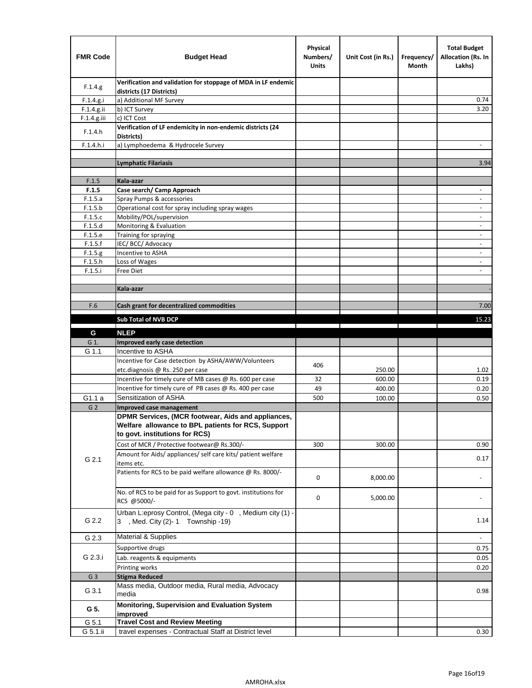| <b>FMR Code</b>    | <b>Budget Head</b>                                                                             | Physical<br>Numbers/<br><b>Units</b> | Unit Cost (in Rs.) | Frequency/<br>Month | <b>Total Budget</b><br>Allocation (Rs. In<br>Lakhs) |
|--------------------|------------------------------------------------------------------------------------------------|--------------------------------------|--------------------|---------------------|-----------------------------------------------------|
| F.1.4.g.           | Verification and validation for stoppage of MDA in LF endemic<br>districts (17 Districts)      |                                      |                    |                     |                                                     |
| F.1.4.g.i          | a) Additional MF Survey                                                                        |                                      |                    |                     | 0.74                                                |
| F.1.4.g.ii         | b) ICT Survey                                                                                  |                                      |                    |                     | 3.20                                                |
| $F.1.4.g.$ iii     | c) ICT Cost                                                                                    |                                      |                    |                     |                                                     |
| F.1.4.h            | Verification of LF endemicity in non-endemic districts (24<br>Districts)                       |                                      |                    |                     |                                                     |
| F.1.4.h.i          | a) Lymphoedema & Hydrocele Survey                                                              |                                      |                    |                     |                                                     |
|                    | <b>Lymphatic Filariasis</b>                                                                    |                                      |                    |                     | 3.94                                                |
|                    |                                                                                                |                                      |                    |                     |                                                     |
| F.1.5              | Kala-azar                                                                                      |                                      |                    |                     |                                                     |
| F.1.5              | Case search/ Camp Approach                                                                     |                                      |                    |                     | $\overline{\phantom{a}}$                            |
| F.1.5.a            | Spray Pumps & accessories                                                                      |                                      |                    |                     | $\overline{\phantom{a}}$                            |
| F.1.5.b            | Operational cost for spray including spray wages                                               |                                      |                    |                     |                                                     |
| F.1.5.c            | Mobility/POL/supervision                                                                       |                                      |                    |                     | $\blacksquare$                                      |
| F.1.5.d            | Monitoring & Evaluation                                                                        |                                      |                    |                     |                                                     |
| F.1.5.e            | Training for spraying                                                                          |                                      |                    |                     | $\overline{\phantom{a}}$                            |
| F.1.5.f            | IEC/BCC/Advocacy<br>Incentive to ASHA                                                          |                                      |                    |                     | $\overline{\phantom{a}}$                            |
| F.1.5.g<br>F.1.5.h | Loss of Wages                                                                                  |                                      |                    |                     | $\overline{\phantom{a}}$                            |
| F.1.5.i            | Free Diet                                                                                      |                                      |                    |                     |                                                     |
|                    |                                                                                                |                                      |                    |                     |                                                     |
|                    | Kala-azar                                                                                      |                                      |                    |                     |                                                     |
|                    |                                                                                                |                                      |                    |                     |                                                     |
| F.6                | Cash grant for decentralized commodities                                                       |                                      |                    |                     | 7.00                                                |
|                    | <b>Sub Total of NVB DCP</b>                                                                    |                                      |                    |                     | 15.23                                               |
|                    |                                                                                                |                                      |                    |                     |                                                     |
| G                  | <b>NLEP</b>                                                                                    |                                      |                    |                     |                                                     |
| G 1.               | Improved early case detection<br>Incentive to ASHA                                             |                                      |                    |                     |                                                     |
| G 1.1              | Incentive for Case detection by ASHA/AWW/Volunteers                                            |                                      |                    |                     |                                                     |
|                    | etc.diagnosis @ Rs. 250 per case                                                               | 406                                  | 250.00             |                     | 1.02                                                |
|                    | Incentive for timely cure of MB cases @ Rs. 600 per case                                       | 32                                   | 600.00             |                     | 0.19                                                |
|                    | Incentive for timely cure of PB cases @ Rs. 400 per case                                       | 49                                   | 400.00             |                     | 0.20                                                |
| G1.1 a             | Sensitization of ASHA                                                                          | 500                                  | 100.00             |                     | 0.50                                                |
| G <sub>2</sub>     | Improved case management                                                                       |                                      |                    |                     |                                                     |
|                    | DPMR Services, (MCR footwear, Aids and appliances,                                             |                                      |                    |                     |                                                     |
|                    | Welfare allowance to BPL patients for RCS, Support                                             |                                      |                    |                     |                                                     |
|                    | to govt. institutions for RCS)                                                                 |                                      |                    |                     |                                                     |
|                    | Cost of MCR / Protective footwear@ Rs.300/-                                                    | 300                                  | 300.00             |                     | 0.90                                                |
|                    | Amount for Aids/ appliances/ self care kits/ patient welfare                                   |                                      |                    |                     |                                                     |
| G 2.1              | items etc.                                                                                     |                                      |                    |                     | 0.17                                                |
|                    | Patients for RCS to be paid welfare allowance @ Rs. 8000/-                                     | 0                                    | 8,000.00           |                     |                                                     |
|                    | No. of RCS to be paid for as Support to govt. institutions for                                 | 0                                    | 5,000.00           |                     |                                                     |
|                    | RCS @5000/-                                                                                    |                                      |                    |                     |                                                     |
| G 2.2              | Urban L:eprosy Control, (Mega city - 0, Medium city (1) -<br>3 , Med. City (2)-1 Township -19) |                                      |                    |                     | 1.14                                                |
| G 2.3              | <b>Material &amp; Supplies</b>                                                                 |                                      |                    |                     | $\overline{\phantom{a}}$                            |
|                    | Supportive drugs                                                                               |                                      |                    |                     |                                                     |
| G 2.3.i            |                                                                                                |                                      |                    |                     | 0.75                                                |
|                    | Lab. reagents & equipments                                                                     |                                      |                    |                     | 0.05                                                |
|                    | Printing works<br><b>Stigma Reduced</b>                                                        |                                      |                    |                     | 0.20                                                |
| G <sub>3</sub>     | Mass media, Outdoor media, Rural media, Advocacy                                               |                                      |                    |                     |                                                     |
| G 3.1              | media                                                                                          |                                      |                    |                     | 0.98                                                |
| G 5.               | Monitoring, Supervision and Evaluation System<br>improved                                      |                                      |                    |                     |                                                     |
| G 5.1              | <b>Travel Cost and Review Meeting</b>                                                          |                                      |                    |                     |                                                     |
| G 5.1.ii           | travel expenses - Contractual Staff at District level                                          |                                      |                    |                     | 0.30                                                |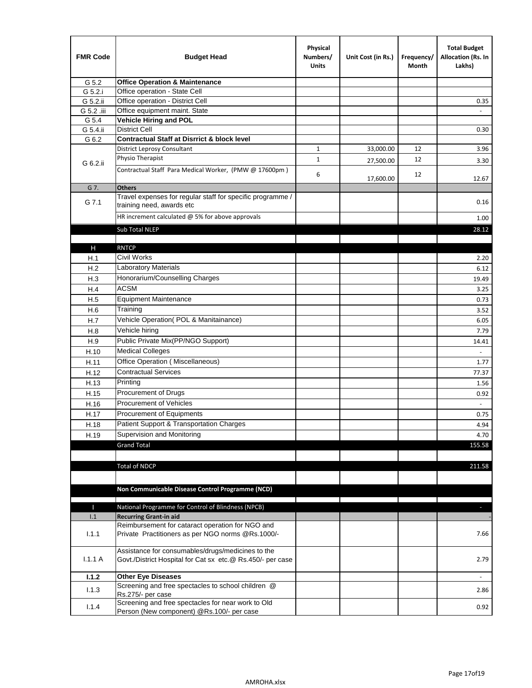| <b>FMR Code</b> | <b>Budget Head</b>                                                                                              | Physical<br>Numbers/<br><b>Units</b> | Unit Cost (in Rs.) | Frequency/<br>Month | <b>Total Budget</b><br>Allocation (Rs. In<br>Lakhs) |
|-----------------|-----------------------------------------------------------------------------------------------------------------|--------------------------------------|--------------------|---------------------|-----------------------------------------------------|
| G 5.2           | <b>Office Operation &amp; Maintenance</b>                                                                       |                                      |                    |                     |                                                     |
| G 5.2.i         | Office operation - State Cell                                                                                   |                                      |                    |                     |                                                     |
| G 5.2.ii        | Office operation - District Cell                                                                                |                                      |                    |                     | 0.35                                                |
| G 5.2 .iii      | Office equipment maint. State                                                                                   |                                      |                    |                     |                                                     |
| G 5.4           | Vehicle Hiring and POL                                                                                          |                                      |                    |                     |                                                     |
| G 5.4.ii        | <b>District Cell</b>                                                                                            |                                      |                    |                     | 0.30                                                |
| G 6.2           | <b>Contractual Staff at Disrrict &amp; block level</b>                                                          |                                      |                    |                     |                                                     |
|                 | <b>District Leprosy Consultant</b>                                                                              | 1                                    | 33,000.00          | 12                  | 3.96                                                |
| G 6.2.ii        | Physio Therapist                                                                                                | $\mathbf{1}$                         | 27,500.00          | 12                  | 3.30                                                |
|                 | Contractual Staff Para Medical Worker, (PMW @ 17600pm)                                                          | 6                                    | 17,600.00          | 12                  | 12.67                                               |
| G 7.            | <b>Others</b>                                                                                                   |                                      |                    |                     |                                                     |
| G 7.1           | Travel expenses for regular staff for specific programme /<br>training need, awards etc                         |                                      |                    |                     | 0.16                                                |
|                 | HR increment calculated $@$ 5% for above approvals                                                              |                                      |                    |                     | 1.00                                                |
|                 | Sub Total NLEP                                                                                                  |                                      |                    |                     | 28.12                                               |
|                 |                                                                                                                 |                                      |                    |                     |                                                     |
| Н               | <b>RNTCP</b>                                                                                                    |                                      |                    |                     |                                                     |
| H.1             | Civil Works                                                                                                     |                                      |                    |                     | 2.20                                                |
| H.2             | Laboratory Materials                                                                                            |                                      |                    |                     | 6.12                                                |
| H.3             | Honorarium/Counselling Charges                                                                                  |                                      |                    |                     | 19.49                                               |
| H.4             | <b>ACSM</b>                                                                                                     |                                      |                    |                     | 3.25                                                |
| H.5             | <b>Equipment Maintenance</b>                                                                                    |                                      |                    |                     | 0.73                                                |
| H.6             | Training                                                                                                        |                                      |                    |                     | 3.52                                                |
| H.7             | Vehicle Operation(POL & Manitainance)                                                                           |                                      |                    |                     | 6.05                                                |
| H.8             | Vehicle hiring                                                                                                  |                                      |                    |                     | 7.79                                                |
| H.9             | Public Private Mix(PP/NGO Support)                                                                              |                                      |                    |                     | 14.41                                               |
| H.10            | <b>Medical Colleges</b>                                                                                         |                                      |                    |                     | $\omega$                                            |
| H.11            | Office Operation (Miscellaneous)                                                                                |                                      |                    |                     | 1.77                                                |
| H.12            | <b>Contractual Services</b>                                                                                     |                                      |                    |                     | 77.37                                               |
| H.13            | Printing                                                                                                        |                                      |                    |                     | 1.56                                                |
| H.15            | Procurement of Drugs                                                                                            |                                      |                    |                     | 0.92                                                |
| H.16            | Procurement of Vehicles                                                                                         |                                      |                    |                     | $\sim$                                              |
| H.17            | Procurement of Equipments                                                                                       |                                      |                    |                     | 0.75                                                |
| H.18            | Patient Support & Transportation Charges                                                                        |                                      |                    |                     | 4.94                                                |
| H.19            | Supervision and Monitoring                                                                                      |                                      |                    |                     | 4.70                                                |
|                 | <b>Grand Total</b>                                                                                              |                                      |                    |                     | 155.58                                              |
|                 |                                                                                                                 |                                      |                    |                     |                                                     |
|                 | <b>Total of NDCP</b>                                                                                            |                                      |                    |                     | 211.58                                              |
|                 | Non Communicable Disease Control Programme (NCD)                                                                |                                      |                    |                     |                                                     |
| Т               | National Programme for Control of Blindness (NPCB)                                                              |                                      |                    |                     | ÷.                                                  |
| 1.1             | <b>Recurring Grant-in aid</b>                                                                                   |                                      |                    |                     |                                                     |
|                 | Reimbursement for cataract operation for NGO and                                                                |                                      |                    |                     |                                                     |
| 1.1.1           | Private Practitioners as per NGO norms @Rs.1000/-                                                               |                                      |                    |                     | 7.66                                                |
| 1.1.1A          | Assistance for consumables/drugs/medicines to the<br>Govt./District Hospital for Cat sx etc.@ Rs.450/- per case |                                      |                    |                     | 2.79                                                |
| 1.1.2           | <b>Other Eye Diseases</b>                                                                                       |                                      |                    |                     |                                                     |
| 1.1.3           | Screening and free spectacles to school children @                                                              |                                      |                    |                     | 2.86                                                |
|                 | Rs.275/- per case                                                                                               |                                      |                    |                     |                                                     |
| 1.1.4           | Screening and free spectacles for near work to Old<br>Person (New component) @Rs.100/- per case                 |                                      |                    |                     | 0.92                                                |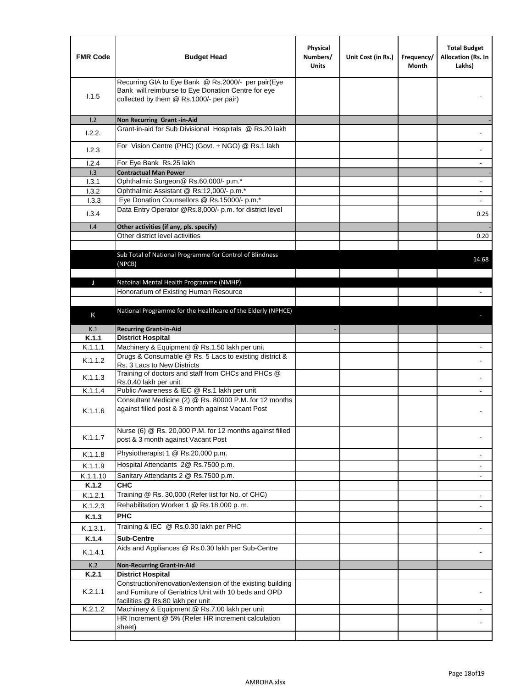| <b>FMR Code</b> | <b>Budget Head</b>                                                                                                                                  | Physical<br>Numbers/<br><b>Units</b> | Unit Cost (in Rs.) | Frequency/<br>Month | <b>Total Budget</b><br>Allocation (Rs. In<br>Lakhs) |
|-----------------|-----------------------------------------------------------------------------------------------------------------------------------------------------|--------------------------------------|--------------------|---------------------|-----------------------------------------------------|
| 1.1.5           | Recurring GIA to Eye Bank @ Rs.2000/- per pair(Eye<br>Bank will reimburse to Eye Donation Centre for eye<br>collected by them @ Rs.1000/- per pair) |                                      |                    |                     |                                                     |
| 1.2             | Non Recurring Grant -in-Aid                                                                                                                         |                                      |                    |                     |                                                     |
| 1.2.2.          | Grant-in-aid for Sub Divisional Hospitals @ Rs.20 lakh                                                                                              |                                      |                    |                     |                                                     |
| 1.2.3           | For Vision Centre (PHC) (Govt. + NGO) @ Rs.1 lakh                                                                                                   |                                      |                    |                     |                                                     |
| 1.2.4           | For Eye Bank Rs.25 lakh                                                                                                                             |                                      |                    |                     | ÷.                                                  |
| 1.3             | <b>Contractual Man Power</b>                                                                                                                        |                                      |                    |                     |                                                     |
| 1.3.1           | Ophthalmic Surgeon@ Rs.60,000/- p.m.*                                                                                                               |                                      |                    |                     | $\overline{\phantom{a}}$                            |
| 1.3.2           | Ophthalmic Assistant @ Rs.12,000/- p.m.*                                                                                                            |                                      |                    |                     |                                                     |
| 1.3.3           | Eye Donation Counsellors @ Rs.15000/- p.m.*                                                                                                         |                                      |                    |                     | $\overline{\phantom{a}}$                            |
| 1.3.4           | Data Entry Operator @Rs.8,000/- p.m. for district level                                                                                             |                                      |                    |                     | 0.25                                                |
| 1.4             | Other activities (if any, pls. specify)                                                                                                             |                                      |                    |                     |                                                     |
|                 | Other district level activities                                                                                                                     |                                      |                    |                     | 0.20                                                |
|                 | Sub Total of National Programme for Control of Blindness<br>(NPCB)                                                                                  |                                      |                    |                     | 14.68                                               |
|                 |                                                                                                                                                     |                                      |                    |                     |                                                     |
| J               | Natoinal Mental Health Programme (NMHP)<br>Honorarium of Existing Human Resource                                                                    |                                      |                    |                     |                                                     |
|                 |                                                                                                                                                     |                                      |                    |                     |                                                     |
|                 | National Programme for the Healthcare of the Elderly (NPHCE)                                                                                        |                                      |                    |                     |                                                     |
| K               |                                                                                                                                                     |                                      |                    |                     |                                                     |
| K.1             | <b>Recurring Grant-in-Aid</b>                                                                                                                       |                                      |                    |                     |                                                     |
| K.1.1           | <b>District Hospital</b>                                                                                                                            |                                      |                    |                     |                                                     |
| K.1.1.1         | Machinery & Equipment @ Rs.1.50 lakh per unit                                                                                                       |                                      |                    |                     |                                                     |
| K.1.1.2         | Drugs & Consumable @ Rs. 5 Lacs to existing district &<br>Rs. 3 Lacs to New Districts                                                               |                                      |                    |                     |                                                     |
| K.1.1.3         | Training of doctors and staff from CHCs and PHCs @<br>Rs.0.40 lakh per unit                                                                         |                                      |                    |                     |                                                     |
| K.1.1.4         | Public Awareness & IEC @ Rs.1 lakh per unit                                                                                                         |                                      |                    |                     |                                                     |
| K.1.1.6         | Consultant Medicine (2) @ Rs. 80000 P.M. for 12 months<br>against filled post & 3 month against Vacant Post                                         |                                      |                    |                     |                                                     |
| K.1.1.7         | Nurse (6) @ Rs. 20,000 P.M. for 12 months against filled<br>post & 3 month against Vacant Post                                                      |                                      |                    |                     |                                                     |
| K.1.1.8         | Physiotherapist 1 @ Rs.20,000 p.m.                                                                                                                  |                                      |                    |                     |                                                     |
| K.1.1.9         | Hospital Attendants 2@ Rs.7500 p.m.                                                                                                                 |                                      |                    |                     |                                                     |
| K.1.1.10        | Sanitary Attendants 2 @ Rs.7500 p.m.                                                                                                                |                                      |                    |                     | $\overline{\phantom{a}}$                            |
| K.1.2           | <b>CHC</b>                                                                                                                                          |                                      |                    |                     |                                                     |
| K.1.2.1         | Training @ Rs. 30,000 (Refer list for No. of CHC)                                                                                                   |                                      |                    |                     |                                                     |
| K.1.2.3         | Rehabilitation Worker 1 @ Rs.18,000 p. m.                                                                                                           |                                      |                    |                     |                                                     |
| K.1.3           | <b>PHC</b>                                                                                                                                          |                                      |                    |                     |                                                     |
| K.1.3.1.        | Training & IEC @ Rs.0.30 lakh per PHC                                                                                                               |                                      |                    |                     |                                                     |
| K.1.4           | <b>Sub-Centre</b>                                                                                                                                   |                                      |                    |                     |                                                     |
| K.1.4.1         | Aids and Appliances @ Rs.0.30 lakh per Sub-Centre                                                                                                   |                                      |                    |                     |                                                     |
|                 |                                                                                                                                                     |                                      |                    |                     |                                                     |
| K.2<br>K.2.1    | <b>Non-Recurring Grant-in-Aid</b><br><b>District Hospital</b>                                                                                       |                                      |                    |                     |                                                     |
|                 | Construction/renovation/extension of the existing building                                                                                          |                                      |                    |                     |                                                     |
| K.2.1.1         | and Furniture of Geriatrics Unit with 10 beds and OPD<br>facilities @ Rs.80 lakh per unit                                                           |                                      |                    |                     |                                                     |
| K.2.1.2         | Machinery & Equipment @ Rs.7.00 lakh per unit                                                                                                       |                                      |                    |                     |                                                     |
|                 | HR Increment @ 5% (Refer HR increment calculation                                                                                                   |                                      |                    |                     |                                                     |
|                 | sheet)                                                                                                                                              |                                      |                    |                     |                                                     |
|                 |                                                                                                                                                     |                                      |                    |                     |                                                     |